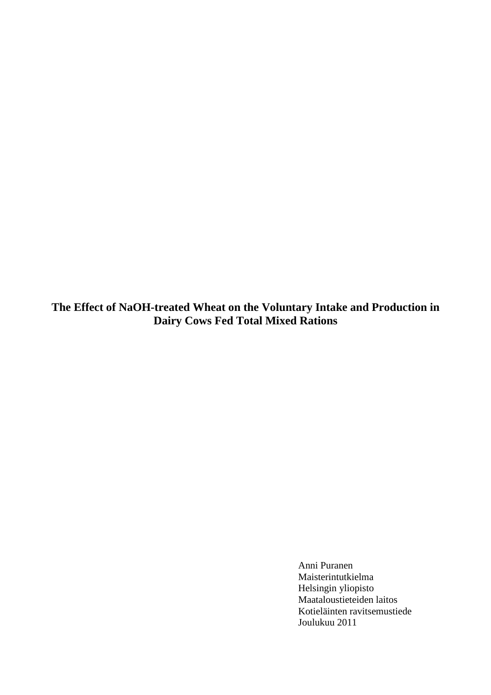**The Effect of NaOH-treated Wheat on the Voluntary Intake and Production in Dairy Cows Fed Total Mixed Rations** 

> Anni Puranen Maisterintutkielma Helsingin yliopisto Maataloustieteiden laitos Kotieläinten ravitsemustiede Joulukuu 2011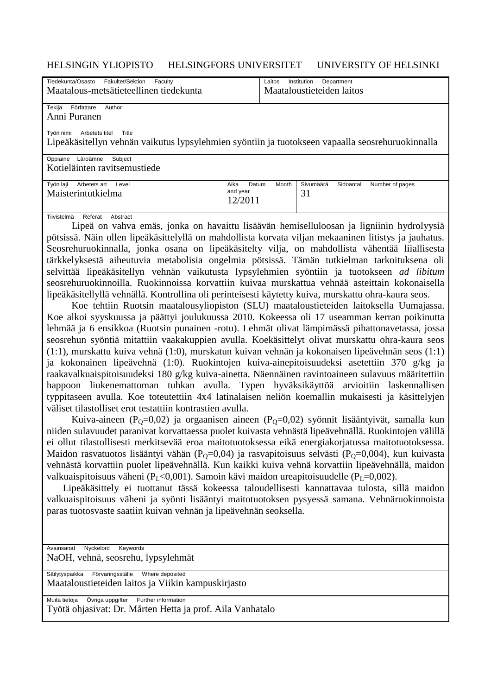## HELSINGIN YLIOPISTO HELSINGFORS UNIVERSITET UNIVERSITY OF HELSINKI

| Tiedekunta/Osasto - Fakultet/Sektion - Faculty                                                   |                      | Laitos - Institution - Department       |  |  |  |  |  |  |
|--------------------------------------------------------------------------------------------------|----------------------|-----------------------------------------|--|--|--|--|--|--|
| Maatalous-metsätieteellinen tiedekunta                                                           |                      | Maataloustieteiden laitos               |  |  |  |  |  |  |
|                                                                                                  |                      |                                         |  |  |  |  |  |  |
| Tekijä - Författare - Author                                                                     |                      |                                         |  |  |  |  |  |  |
| Anni Puranen                                                                                     |                      |                                         |  |  |  |  |  |  |
|                                                                                                  |                      |                                         |  |  |  |  |  |  |
| Työn nimi - Arbetets titel - Title                                                               |                      |                                         |  |  |  |  |  |  |
| Lipeäkäsitellyn vehnän vaikutus lypsylehmien syöntiin ja tuotokseen vapaalla seosrehuruokinnalla |                      |                                         |  |  |  |  |  |  |
| Oppiaine -Läroämne - Subject                                                                     |                      |                                         |  |  |  |  |  |  |
| Kotieläinten ravitsemustiede                                                                     |                      |                                         |  |  |  |  |  |  |
|                                                                                                  |                      |                                         |  |  |  |  |  |  |
| Työn laji - Arbetets art - Level                                                                 | Aika — Datum — Month | Sivumäärä - Sidoantal - Number of pages |  |  |  |  |  |  |
| Maisterintutkielma                                                                               | and year             | 31                                      |  |  |  |  |  |  |
|                                                                                                  | 12/2011              |                                         |  |  |  |  |  |  |
|                                                                                                  |                      |                                         |  |  |  |  |  |  |

Tiivistelmä - Referat - Abstract

 Lipeä on vahva emäs, jonka on havaittu lisäävän hemiselluloosan ja ligniinin hydrolyysiä pötsissä. Näin ollen lipeäkäsittelyllä on mahdollista korvata viljan mekaaninen litistys ja jauhatus. Seosrehuruokinnalla, jonka osana on lipeäkäsitelty vilja, on mahdollista vähentää liiallisesta tärkkelyksestä aiheutuvia metabolisia ongelmia pötsissä. Tämän tutkielman tarkoituksena oli selvittää lipeäkäsitellyn vehnän vaikutusta lypsylehmien syöntiin ja tuotokseen *ad libitum* seosrehuruokinnoilla. Ruokinnoissa korvattiin kuivaa murskattua vehnää asteittain kokonaisella lipeäkäsitellyllä vehnällä. Kontrollina oli perinteisesti käytetty kuiva, murskattu ohra-kaura seos.

 Koe tehtiin Ruotsin maatalousyliopiston (SLU) maataloustieteiden laitoksella Uumajassa. Koe alkoi syyskuussa ja päättyi joulukuussa 2010. Kokeessa oli 17 useamman kerran poikinutta lehmää ja 6 ensikkoa (Ruotsin punainen -rotu). Lehmät olivat lämpimässä pihattonavetassa, jossa seosrehun syöntiä mitattiin vaakakuppien avulla. Koekäsittelyt olivat murskattu ohra-kaura seos (1:1), murskattu kuiva vehnä (1:0), murskatun kuivan vehnän ja kokonaisen lipeävehnän seos (1:1) ja kokonainen lipeävehnä (1:0). Ruokintojen kuiva-ainepitoisuudeksi asetettiin 370 g/kg ja raakavalkuaispitoisuudeksi 180 g/kg kuiva-ainetta. Näennäinen ravintoaineen sulavuus määritettiin happoon liukenemattoman tuhkan avulla. Typen hyväksikäyttöä arvioitiin laskennallisen typpitaseen avulla. Koe toteutettiin 4x4 latinalaisen neliön koemallin mukaisesti ja käsittelyjen väliset tilastolliset erot testattiin kontrastien avulla.

Kuiva-aineen (P<sub>O</sub>=0,02) ja orgaanisen aineen (P<sub>O</sub>=0,02) syönnit lisääntyivät, samalla kun niiden sulavuudet paranivat korvattaessa puolet kuivasta vehnästä lipeävehnällä. Ruokintojen välillä ei ollut tilastollisesti merkitsevää eroa maitotuotoksessa eikä energiakorjatussa maitotuotoksessa. Maidon rasvatuotos lisääntyi vähän (P<sub>Q</sub>=0,04) ja rasvapitoisuus selvästi (P<sub>Q</sub>=0,004), kun kuivasta vehnästä korvattiin puolet lipeävehnällä. Kun kaikki kuiva vehnä korvattiin lipeävehnällä, maidon valkuaispitoisuus väheni (P<sub>L</sub><0,001). Samoin kävi maidon ureapitoisuudelle (P<sub>L</sub>=0,002).

 Lipeäkäsittely ei tuottanut tässä kokeessa taloudellisesti kannattavaa tulosta, sillä maidon valkuaispitoisuus väheni ja syönti lisääntyi maitotuotoksen pysyessä samana. Vehnäruokinnoista paras tuotosvaste saatiin kuivan vehnän ja lipeävehnän seoksella.

Avainsanat - Nyckelord - Keywords NaOH, vehnä, seosrehu, lypsylehmät

Säilytyspaikka - Förvaringsställe - Where deposited

Maataloustieteiden laitos ja Viikin kampuskirjasto

Muita tietoja - Övriga uppgifter - Further information Työtä ohjasivat: Dr. Mårten Hetta ja prof. Aila Vanhatalo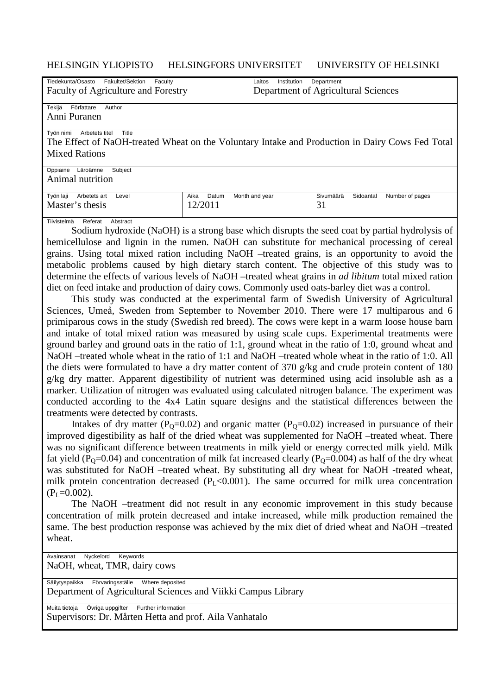## HELSINGIN YLIOPISTO HELSINGFORS UNIVERSITET UNIVERSITY OF HELSINKI

| Tiedekunta/Osasto - Fakultet/Sektion - Faculty |                               | Laitos - Institution - Department |                                                                                                 |  |  |  |  |
|------------------------------------------------|-------------------------------|-----------------------------------|-------------------------------------------------------------------------------------------------|--|--|--|--|
| Faculty of Agriculture and Forestry            |                               |                                   | Department of Agricultural Sciences                                                             |  |  |  |  |
|                                                |                               |                                   |                                                                                                 |  |  |  |  |
| Tekijä - Författare - Author                   |                               |                                   |                                                                                                 |  |  |  |  |
| Anni Puranen                                   |                               |                                   |                                                                                                 |  |  |  |  |
|                                                |                               |                                   |                                                                                                 |  |  |  |  |
| Työn nimi - Arbetets titel - Title             |                               |                                   |                                                                                                 |  |  |  |  |
|                                                |                               |                                   | The Effect of NaOH-treated Wheat on the Voluntary Intake and Production in Dairy Cows Fed Total |  |  |  |  |
| <b>Mixed Rations</b>                           |                               |                                   |                                                                                                 |  |  |  |  |
|                                                |                               |                                   |                                                                                                 |  |  |  |  |
| Oppiaine -Läroämne - Subject                   |                               |                                   |                                                                                                 |  |  |  |  |
| Animal nutrition                               |                               |                                   |                                                                                                 |  |  |  |  |
|                                                |                               |                                   |                                                                                                 |  |  |  |  |
| Työn laji - Arbetets art - Level               | Aika — Datum — Month and year |                                   | Sivumäärä - Sidoantal - Number of pages                                                         |  |  |  |  |
| Master's thesis                                | 12/2011                       |                                   | 31                                                                                              |  |  |  |  |
|                                                |                               |                                   |                                                                                                 |  |  |  |  |

#### Tiivistelmä - Referat - Abstract

 Sodium hydroxide (NaOH) is a strong base which disrupts the seed coat by partial hydrolysis of hemicellulose and lignin in the rumen. NaOH can substitute for mechanical processing of cereal grains. Using total mixed ration including NaOH –treated grains, is an opportunity to avoid the metabolic problems caused by high dietary starch content. The objective of this study was to determine the effects of various levels of NaOH –treated wheat grains in *ad libitum* total mixed ration diet on feed intake and production of dairy cows. Commonly used oats-barley diet was a control.

 This study was conducted at the experimental farm of Swedish University of Agricultural Sciences, Umeå, Sweden from September to November 2010. There were 17 multiparous and 6 primiparous cows in the study (Swedish red breed). The cows were kept in a warm loose house barn and intake of total mixed ration was measured by using scale cups. Experimental treatments were ground barley and ground oats in the ratio of 1:1, ground wheat in the ratio of 1:0, ground wheat and NaOH –treated whole wheat in the ratio of 1:1 and NaOH –treated whole wheat in the ratio of 1:0. All the diets were formulated to have a dry matter content of 370 g/kg and crude protein content of 180 g/kg dry matter. Apparent digestibility of nutrient was determined using acid insoluble ash as a marker. Utilization of nitrogen was evaluated using calculated nitrogen balance. The experiment was conducted according to the 4x4 Latin square designs and the statistical differences between the treatments were detected by contrasts.

Intakes of dry matter ( $P_0=0.02$ ) and organic matter ( $P_0=0.02$ ) increased in pursuance of their improved digestibility as half of the dried wheat was supplemented for NaOH –treated wheat. There was no significant difference between treatments in milk yield or energy corrected milk yield. Milk fat yield ( $P_0$ =0.04) and concentration of milk fat increased clearly ( $P_0$ =0.004) as half of the dry wheat was substituted for NaOH –treated wheat. By substituting all dry wheat for NaOH -treated wheat, milk protein concentration decreased  $(P<sub>L</sub> < 0.001)$ . The same occurred for milk urea concentration  $(P<sub>I</sub>=0.002)$ .

 The NaOH –treatment did not result in any economic improvement in this study because concentration of milk protein decreased and intake increased, while milk production remained the same. The best production response was achieved by the mix diet of dried wheat and NaOH –treated wheat.

Avainsanat - Nyckelord - Keywords NaOH, wheat, TMR, dairy cows

Säilytyspaikka - Förvaringsställe - Where deposited

Department of Agricultural Sciences and Viikki Campus Library

Muita tietoja — Övriga uppgifter — Further information Supervisors: Dr. Mårten Hetta and prof. Aila Vanhatalo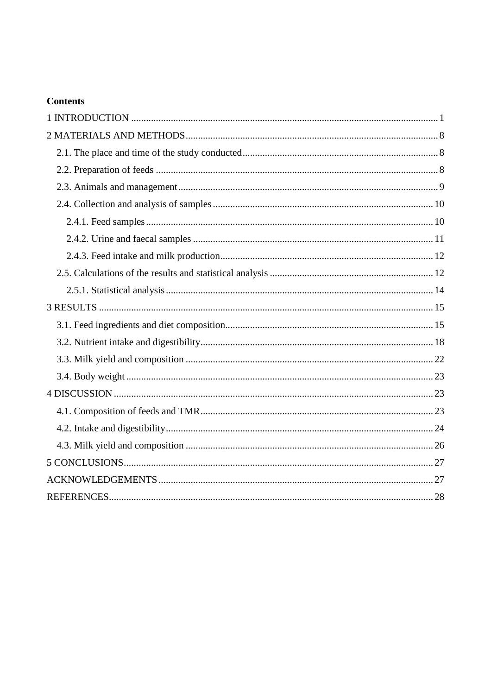# **Contents**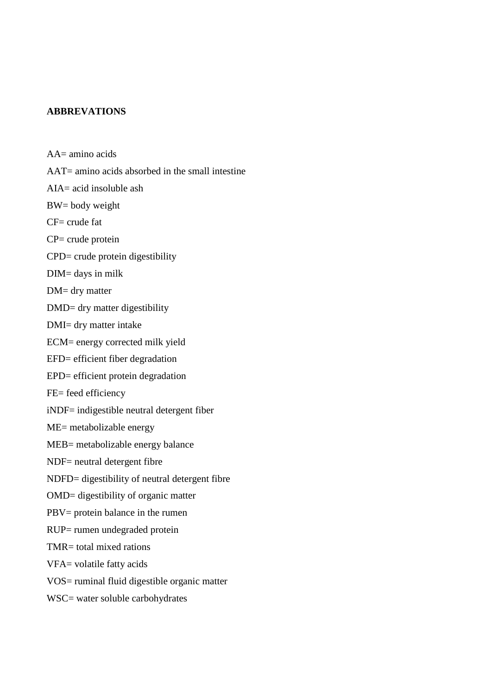## **ABBREVATIONS**

- AA= amino acids AAT= amino acids absorbed in the small intestine AIA= acid insoluble ash BW= body weight  $CF = crude fat$ CP= crude protein CPD= crude protein digestibility DIM= days in milk DM= dry matter DMD= dry matter digestibility DMI= dry matter intake ECM= energy corrected milk yield EFD= efficient fiber degradation EPD= efficient protein degradation FE= feed efficiency iNDF= indigestible neutral detergent fiber ME= metabolizable energy MEB= metabolizable energy balance NDF= neutral detergent fibre NDFD= digestibility of neutral detergent fibre OMD= digestibility of organic matter PBV= protein balance in the rumen RUP= rumen undegraded protein TMR= total mixed rations VFA= volatile fatty acids VOS= ruminal fluid digestible organic matter
- WSC= water soluble carbohydrates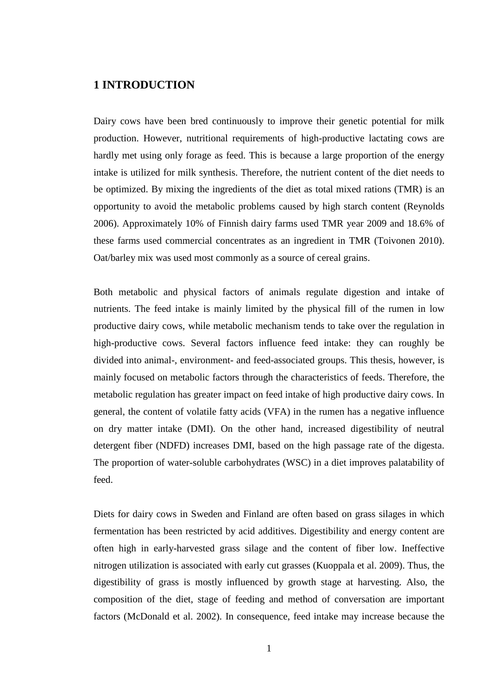# **1 INTRODUCTION**

Dairy cows have been bred continuously to improve their genetic potential for milk production. However, nutritional requirements of high-productive lactating cows are hardly met using only forage as feed. This is because a large proportion of the energy intake is utilized for milk synthesis. Therefore, the nutrient content of the diet needs to be optimized. By mixing the ingredients of the diet as total mixed rations (TMR) is an opportunity to avoid the metabolic problems caused by high starch content (Reynolds 2006). Approximately 10% of Finnish dairy farms used TMR year 2009 and 18.6% of these farms used commercial concentrates as an ingredient in TMR (Toivonen 2010). Oat/barley mix was used most commonly as a source of cereal grains.

Both metabolic and physical factors of animals regulate digestion and intake of nutrients. The feed intake is mainly limited by the physical fill of the rumen in low productive dairy cows, while metabolic mechanism tends to take over the regulation in high-productive cows. Several factors influence feed intake: they can roughly be divided into animal-, environment- and feed-associated groups. This thesis, however, is mainly focused on metabolic factors through the characteristics of feeds. Therefore, the metabolic regulation has greater impact on feed intake of high productive dairy cows. In general, the content of volatile fatty acids (VFA) in the rumen has a negative influence on dry matter intake (DMI). On the other hand, increased digestibility of neutral detergent fiber (NDFD) increases DMI, based on the high passage rate of the digesta. The proportion of water-soluble carbohydrates (WSC) in a diet improves palatability of feed.

Diets for dairy cows in Sweden and Finland are often based on grass silages in which fermentation has been restricted by acid additives. Digestibility and energy content are often high in early-harvested grass silage and the content of fiber low. Ineffective nitrogen utilization is associated with early cut grasses (Kuoppala et al. 2009). Thus, the digestibility of grass is mostly influenced by growth stage at harvesting. Also, the composition of the diet, stage of feeding and method of conversation are important factors (McDonald et al. 2002). In consequence, feed intake may increase because the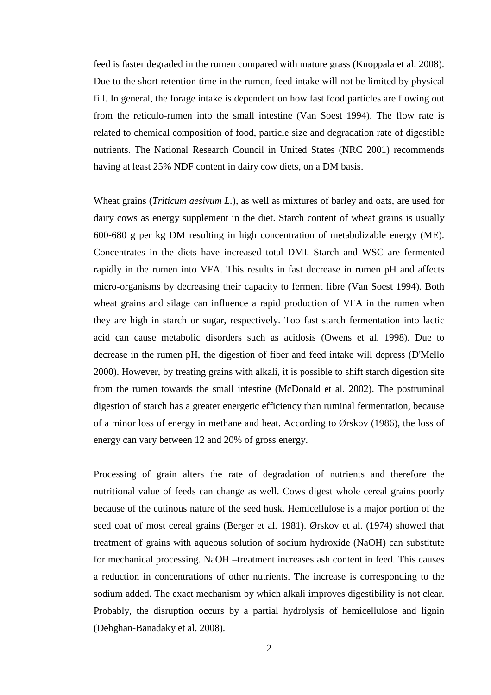feed is faster degraded in the rumen compared with mature grass (Kuoppala et al. 2008). Due to the short retention time in the rumen, feed intake will not be limited by physical fill. In general, the forage intake is dependent on how fast food particles are flowing out from the reticulo-rumen into the small intestine (Van Soest 1994). The flow rate is related to chemical composition of food, particle size and degradation rate of digestible nutrients. The National Research Council in United States (NRC 2001) recommends having at least 25% NDF content in dairy cow diets, on a DM basis.

Wheat grains (*Triticum aesivum L.*), as well as mixtures of barley and oats, are used for dairy cows as energy supplement in the diet. Starch content of wheat grains is usually 600-680 g per kg DM resulting in high concentration of metabolizable energy (ME). Concentrates in the diets have increased total DMI. Starch and WSC are fermented rapidly in the rumen into VFA. This results in fast decrease in rumen pH and affects micro-organisms by decreasing their capacity to ferment fibre (Van Soest 1994). Both wheat grains and silage can influence a rapid production of VFA in the rumen when they are high in starch or sugar, respectively. Too fast starch fermentation into lactic acid can cause metabolic disorders such as acidosis (Owens et al. 1998). Due to decrease in the rumen pH, the digestion of fiber and feed intake will depress (D'Mello 2000). However, by treating grains with alkali, it is possible to shift starch digestion site from the rumen towards the small intestine (McDonald et al. 2002). The postruminal digestion of starch has a greater energetic efficiency than ruminal fermentation, because of a minor loss of energy in methane and heat. According to Ørskov (1986), the loss of energy can vary between 12 and 20% of gross energy.

Processing of grain alters the rate of degradation of nutrients and therefore the nutritional value of feeds can change as well. Cows digest whole cereal grains poorly because of the cutinous nature of the seed husk. Hemicellulose is a major portion of the seed coat of most cereal grains (Berger et al. 1981). Ørskov et al. (1974) showed that treatment of grains with aqueous solution of sodium hydroxide (NaOH) can substitute for mechanical processing. NaOH –treatment increases ash content in feed. This causes a reduction in concentrations of other nutrients. The increase is corresponding to the sodium added. The exact mechanism by which alkali improves digestibility is not clear. Probably, the disruption occurs by a partial hydrolysis of hemicellulose and lignin (Dehghan-Banadaky et al. 2008).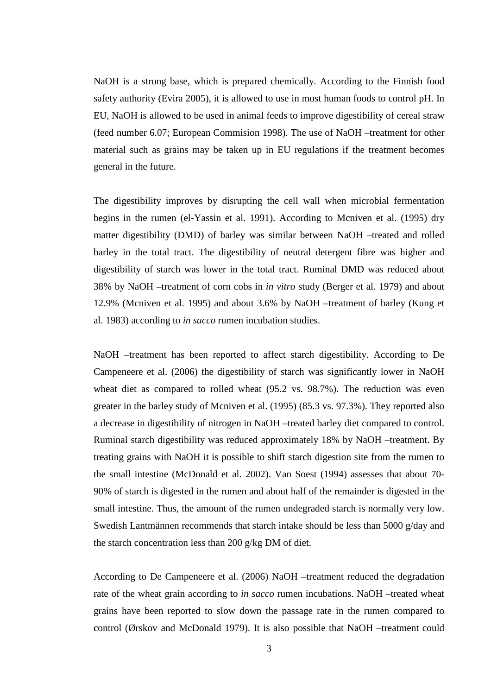NaOH is a strong base, which is prepared chemically. According to the Finnish food safety authority (Evira 2005), it is allowed to use in most human foods to control pH. In EU, NaOH is allowed to be used in animal feeds to improve digestibility of cereal straw (feed number 6.07; European Commision 1998). The use of NaOH –treatment for other material such as grains may be taken up in EU regulations if the treatment becomes general in the future.

The digestibility improves by disrupting the cell wall when microbial fermentation begins in the rumen (el-Yassin et al. 1991). According to Mcniven et al. (1995) dry matter digestibility (DMD) of barley was similar between NaOH –treated and rolled barley in the total tract. The digestibility of neutral detergent fibre was higher and digestibility of starch was lower in the total tract. Ruminal DMD was reduced about 38% by NaOH –treatment of corn cobs in *in vitro* study (Berger et al. 1979) and about 12.9% (Mcniven et al. 1995) and about 3.6% by NaOH –treatment of barley (Kung et al. 1983) according to *in sacco* rumen incubation studies.

NaOH –treatment has been reported to affect starch digestibility. According to De Campeneere et al. (2006) the digestibility of starch was significantly lower in NaOH wheat diet as compared to rolled wheat (95.2 vs. 98.7%). The reduction was even greater in the barley study of Mcniven et al. (1995) (85.3 vs. 97.3%). They reported also a decrease in digestibility of nitrogen in NaOH –treated barley diet compared to control. Ruminal starch digestibility was reduced approximately 18% by NaOH –treatment. By treating grains with NaOH it is possible to shift starch digestion site from the rumen to the small intestine (McDonald et al. 2002). Van Soest (1994) assesses that about 70- 90% of starch is digested in the rumen and about half of the remainder is digested in the small intestine. Thus, the amount of the rumen undegraded starch is normally very low. Swedish Lantmännen recommends that starch intake should be less than 5000 g/day and the starch concentration less than 200 g/kg DM of diet.

According to De Campeneere et al. (2006) NaOH –treatment reduced the degradation rate of the wheat grain according to *in sacco* rumen incubations. NaOH –treated wheat grains have been reported to slow down the passage rate in the rumen compared to control (Ørskov and McDonald 1979). It is also possible that NaOH –treatment could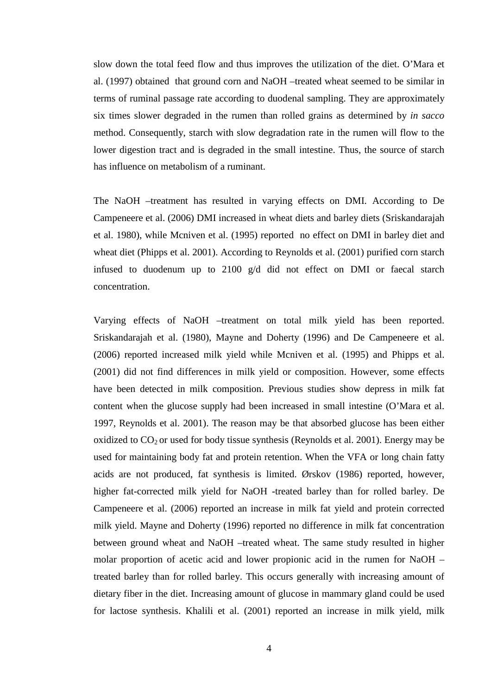slow down the total feed flow and thus improves the utilization of the diet. O'Mara et al. (1997) obtained that ground corn and NaOH –treated wheat seemed to be similar in terms of ruminal passage rate according to duodenal sampling. They are approximately six times slower degraded in the rumen than rolled grains as determined by *in sacco* method. Consequently, starch with slow degradation rate in the rumen will flow to the lower digestion tract and is degraded in the small intestine. Thus, the source of starch has influence on metabolism of a ruminant.

The NaOH –treatment has resulted in varying effects on DMI. According to De Campeneere et al. (2006) DMI increased in wheat diets and barley diets (Sriskandarajah et al. 1980), while Mcniven et al. (1995) reported no effect on DMI in barley diet and wheat diet (Phipps et al. 2001). According to Reynolds et al. (2001) purified corn starch infused to duodenum up to 2100 g/d did not effect on DMI or faecal starch concentration.

Varying effects of NaOH –treatment on total milk yield has been reported. Sriskandarajah et al. (1980), Mayne and Doherty (1996) and De Campeneere et al. (2006) reported increased milk yield while Mcniven et al. (1995) and Phipps et al. (2001) did not find differences in milk yield or composition. However, some effects have been detected in milk composition. Previous studies show depress in milk fat content when the glucose supply had been increased in small intestine (O'Mara et al. 1997, Reynolds et al. 2001). The reason may be that absorbed glucose has been either oxidized to  $CO<sub>2</sub>$  or used for body tissue synthesis (Reynolds et al. 2001). Energy may be used for maintaining body fat and protein retention. When the VFA or long chain fatty acids are not produced, fat synthesis is limited. Ørskov (1986) reported, however, higher fat-corrected milk yield for NaOH -treated barley than for rolled barley. De Campeneere et al. (2006) reported an increase in milk fat yield and protein corrected milk yield. Mayne and Doherty (1996) reported no difference in milk fat concentration between ground wheat and NaOH –treated wheat. The same study resulted in higher molar proportion of acetic acid and lower propionic acid in the rumen for NaOH – treated barley than for rolled barley. This occurs generally with increasing amount of dietary fiber in the diet. Increasing amount of glucose in mammary gland could be used for lactose synthesis. Khalili et al. (2001) reported an increase in milk yield, milk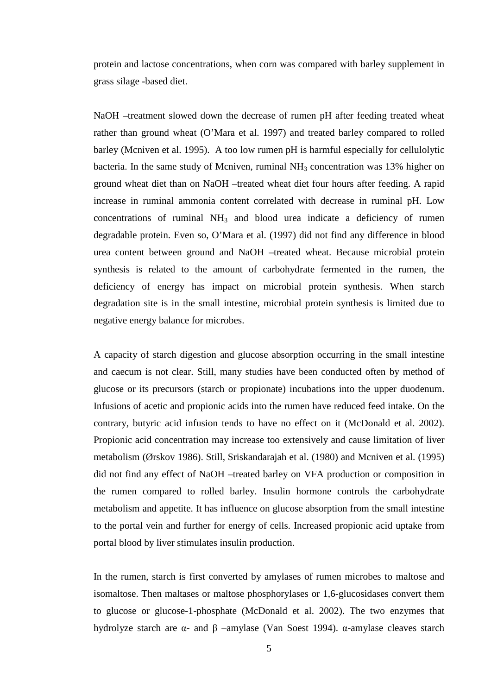protein and lactose concentrations, when corn was compared with barley supplement in grass silage -based diet.

NaOH –treatment slowed down the decrease of rumen pH after feeding treated wheat rather than ground wheat (O'Mara et al. 1997) and treated barley compared to rolled barley (Mcniven et al. 1995). A too low rumen pH is harmful especially for cellulolytic bacteria. In the same study of Mcniven, ruminal  $NH<sub>3</sub>$  concentration was 13% higher on ground wheat diet than on NaOH –treated wheat diet four hours after feeding. A rapid increase in ruminal ammonia content correlated with decrease in ruminal pH. Low concentrations of ruminal  $NH<sub>3</sub>$  and blood urea indicate a deficiency of rumen degradable protein. Even so, O'Mara et al. (1997) did not find any difference in blood urea content between ground and NaOH –treated wheat. Because microbial protein synthesis is related to the amount of carbohydrate fermented in the rumen, the deficiency of energy has impact on microbial protein synthesis. When starch degradation site is in the small intestine, microbial protein synthesis is limited due to negative energy balance for microbes.

A capacity of starch digestion and glucose absorption occurring in the small intestine and caecum is not clear. Still, many studies have been conducted often by method of glucose or its precursors (starch or propionate) incubations into the upper duodenum. Infusions of acetic and propionic acids into the rumen have reduced feed intake. On the contrary, butyric acid infusion tends to have no effect on it (McDonald et al. 2002). Propionic acid concentration may increase too extensively and cause limitation of liver metabolism (Ørskov 1986). Still, Sriskandarajah et al. (1980) and Mcniven et al. (1995) did not find any effect of NaOH –treated barley on VFA production or composition in the rumen compared to rolled barley. Insulin hormone controls the carbohydrate metabolism and appetite. It has influence on glucose absorption from the small intestine to the portal vein and further for energy of cells. Increased propionic acid uptake from portal blood by liver stimulates insulin production.

In the rumen, starch is first converted by amylases of rumen microbes to maltose and isomaltose. Then maltases or maltose phosphorylases or 1,6-glucosidases convert them to glucose or glucose-1-phosphate (McDonald et al. 2002). The two enzymes that hydrolyze starch are α- and β –amylase (Van Soest 1994). α-amylase cleaves starch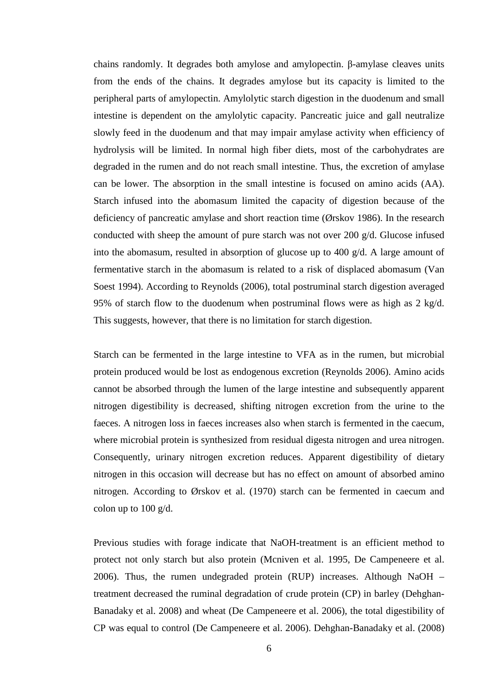chains randomly. It degrades both amylose and amylopectin. β-amylase cleaves units from the ends of the chains. It degrades amylose but its capacity is limited to the peripheral parts of amylopectin. Amylolytic starch digestion in the duodenum and small intestine is dependent on the amylolytic capacity. Pancreatic juice and gall neutralize slowly feed in the duodenum and that may impair amylase activity when efficiency of hydrolysis will be limited. In normal high fiber diets, most of the carbohydrates are degraded in the rumen and do not reach small intestine. Thus, the excretion of amylase can be lower. The absorption in the small intestine is focused on amino acids (AA). Starch infused into the abomasum limited the capacity of digestion because of the deficiency of pancreatic amylase and short reaction time (Ørskov 1986). In the research conducted with sheep the amount of pure starch was not over 200 g/d. Glucose infused into the abomasum, resulted in absorption of glucose up to 400 g/d. A large amount of fermentative starch in the abomasum is related to a risk of displaced abomasum (Van Soest 1994). According to Reynolds (2006), total postruminal starch digestion averaged 95% of starch flow to the duodenum when postruminal flows were as high as  $2 \text{ kg/d}$ . This suggests, however, that there is no limitation for starch digestion.

Starch can be fermented in the large intestine to VFA as in the rumen, but microbial protein produced would be lost as endogenous excretion (Reynolds 2006). Amino acids cannot be absorbed through the lumen of the large intestine and subsequently apparent nitrogen digestibility is decreased, shifting nitrogen excretion from the urine to the faeces. A nitrogen loss in faeces increases also when starch is fermented in the caecum, where microbial protein is synthesized from residual digesta nitrogen and urea nitrogen. Consequently, urinary nitrogen excretion reduces. Apparent digestibility of dietary nitrogen in this occasion will decrease but has no effect on amount of absorbed amino nitrogen. According to Ørskov et al. (1970) starch can be fermented in caecum and colon up to 100 g/d.

Previous studies with forage indicate that NaOH-treatment is an efficient method to protect not only starch but also protein (Mcniven et al. 1995, De Campeneere et al. 2006). Thus, the rumen undegraded protein (RUP) increases. Although NaOH – treatment decreased the ruminal degradation of crude protein (CP) in barley (Dehghan-Banadaky et al. 2008) and wheat (De Campeneere et al. 2006), the total digestibility of CP was equal to control (De Campeneere et al. 2006). Dehghan-Banadaky et al. (2008)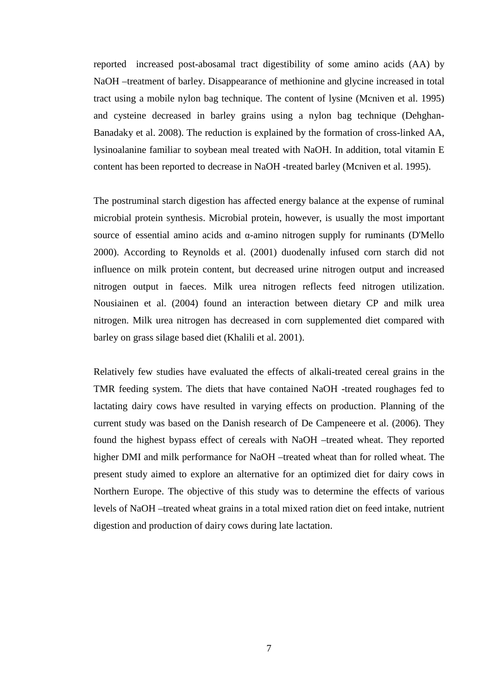reported increased post-abosamal tract digestibility of some amino acids (AA) by NaOH –treatment of barley. Disappearance of methionine and glycine increased in total tract using a mobile nylon bag technique. The content of lysine (Mcniven et al. 1995) and cysteine decreased in barley grains using a nylon bag technique (Dehghan-Banadaky et al. 2008). The reduction is explained by the formation of cross-linked AA, lysinoalanine familiar to soybean meal treated with NaOH. In addition, total vitamin E content has been reported to decrease in NaOH -treated barley (Mcniven et al. 1995).

The postruminal starch digestion has affected energy balance at the expense of ruminal microbial protein synthesis. Microbial protein, however, is usually the most important source of essential amino acids and α-amino nitrogen supply for ruminants (D'Mello 2000). According to Reynolds et al. (2001) duodenally infused corn starch did not influence on milk protein content, but decreased urine nitrogen output and increased nitrogen output in faeces. Milk urea nitrogen reflects feed nitrogen utilization. Nousiainen et al. (2004) found an interaction between dietary CP and milk urea nitrogen. Milk urea nitrogen has decreased in corn supplemented diet compared with barley on grass silage based diet (Khalili et al. 2001).

Relatively few studies have evaluated the effects of alkali-treated cereal grains in the TMR feeding system. The diets that have contained NaOH -treated roughages fed to lactating dairy cows have resulted in varying effects on production. Planning of the current study was based on the Danish research of De Campeneere et al. (2006). They found the highest bypass effect of cereals with NaOH –treated wheat. They reported higher DMI and milk performance for NaOH –treated wheat than for rolled wheat. The present study aimed to explore an alternative for an optimized diet for dairy cows in Northern Europe. The objective of this study was to determine the effects of various levels of NaOH –treated wheat grains in a total mixed ration diet on feed intake, nutrient digestion and production of dairy cows during late lactation.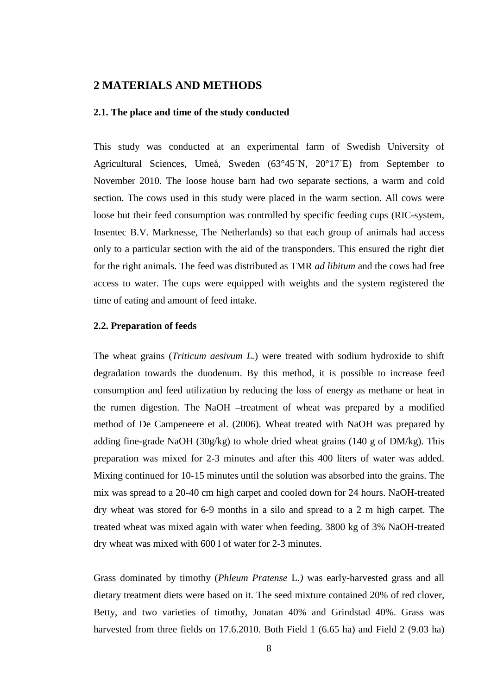# **2 MATERIALS AND METHODS**

#### **2.1. The place and time of the study conducted**

This study was conducted at an experimental farm of Swedish University of Agricultural Sciences, Umeå, Sweden (63°45´N, 20°17´E) from September to November 2010. The loose house barn had two separate sections, a warm and cold section. The cows used in this study were placed in the warm section. All cows were loose but their feed consumption was controlled by specific feeding cups (RIC-system, Insentec B.V. Marknesse, The Netherlands) so that each group of animals had access only to a particular section with the aid of the transponders. This ensured the right diet for the right animals. The feed was distributed as TMR *ad libitum* and the cows had free access to water. The cups were equipped with weights and the system registered the time of eating and amount of feed intake.

## **2.2. Preparation of feeds**

The wheat grains (*Triticum aesivum L.*) were treated with sodium hydroxide to shift degradation towards the duodenum. By this method, it is possible to increase feed consumption and feed utilization by reducing the loss of energy as methane or heat in the rumen digestion. The NaOH –treatment of wheat was prepared by a modified method of De Campeneere et al. (2006). Wheat treated with NaOH was prepared by adding fine-grade NaOH (30g/kg) to whole dried wheat grains (140 g of DM/kg). This preparation was mixed for 2-3 minutes and after this 400 liters of water was added. Mixing continued for 10-15 minutes until the solution was absorbed into the grains. The mix was spread to a 20-40 cm high carpet and cooled down for 24 hours. NaOH-treated dry wheat was stored for 6-9 months in a silo and spread to a 2 m high carpet. The treated wheat was mixed again with water when feeding. 3800 kg of 3% NaOH-treated dry wheat was mixed with 600 l of water for 2-3 minutes.

Grass dominated by timothy (*Phleum Pratense* L.*)* was early-harvested grass and all dietary treatment diets were based on it. The seed mixture contained 20% of red clover, Betty, and two varieties of timothy, Jonatan 40% and Grindstad 40%. Grass was harvested from three fields on 17.6.2010. Both Field 1 (6.65 ha) and Field 2 (9.03 ha)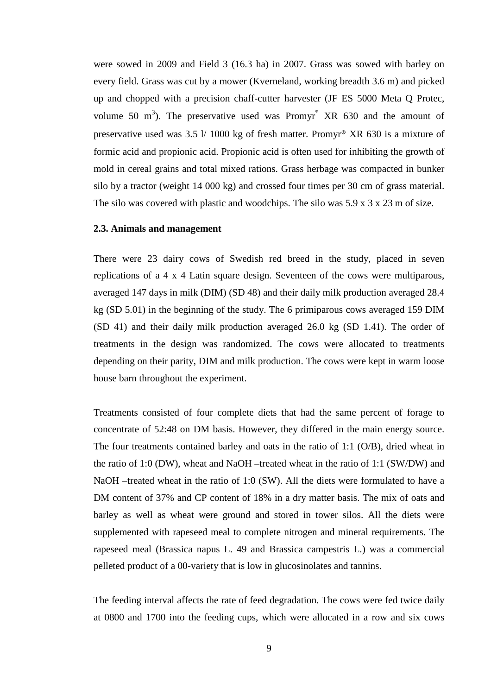were sowed in 2009 and Field 3 (16.3 ha) in 2007. Grass was sowed with barley on every field. Grass was cut by a mower (Kverneland, working breadth 3.6 m) and picked up and chopped with a precision chaff-cutter harvester (JF ES 5000 Meta Q Protec, volume 50 m<sup>3</sup>). The preservative used was Promyr<sup>®</sup> XR 630 and the amount of preservative used was 3.5 l/ 1000 kg of fresh matter. Promyr® XR 630 is a mixture of formic acid and propionic acid. Propionic acid is often used for inhibiting the growth of mold in cereal grains and total mixed rations. Grass herbage was compacted in bunker silo by a tractor (weight 14 000 kg) and crossed four times per 30 cm of grass material. The silo was covered with plastic and woodchips. The silo was 5.9 x 3 x 23 m of size.

#### **2.3. Animals and management**

There were 23 dairy cows of Swedish red breed in the study, placed in seven replications of a 4 x 4 Latin square design. Seventeen of the cows were multiparous, averaged 147 days in milk (DIM) (SD 48) and their daily milk production averaged 28.4 kg (SD 5.01) in the beginning of the study. The 6 primiparous cows averaged 159 DIM (SD 41) and their daily milk production averaged 26.0 kg (SD 1.41). The order of treatments in the design was randomized. The cows were allocated to treatments depending on their parity, DIM and milk production. The cows were kept in warm loose house barn throughout the experiment.

Treatments consisted of four complete diets that had the same percent of forage to concentrate of 52:48 on DM basis. However, they differed in the main energy source. The four treatments contained barley and oats in the ratio of 1:1 (O/B), dried wheat in the ratio of 1:0 (DW), wheat and NaOH –treated wheat in the ratio of 1:1 (SW/DW) and NaOH –treated wheat in the ratio of 1:0 (SW). All the diets were formulated to have a DM content of 37% and CP content of 18% in a dry matter basis. The mix of oats and barley as well as wheat were ground and stored in tower silos. All the diets were supplemented with rapeseed meal to complete nitrogen and mineral requirements. The rapeseed meal (Brassica napus L. 49 and Brassica campestris L.) was a commercial pelleted product of a 00-variety that is low in glucosinolates and tannins.

The feeding interval affects the rate of feed degradation. The cows were fed twice daily at 0800 and 1700 into the feeding cups, which were allocated in a row and six cows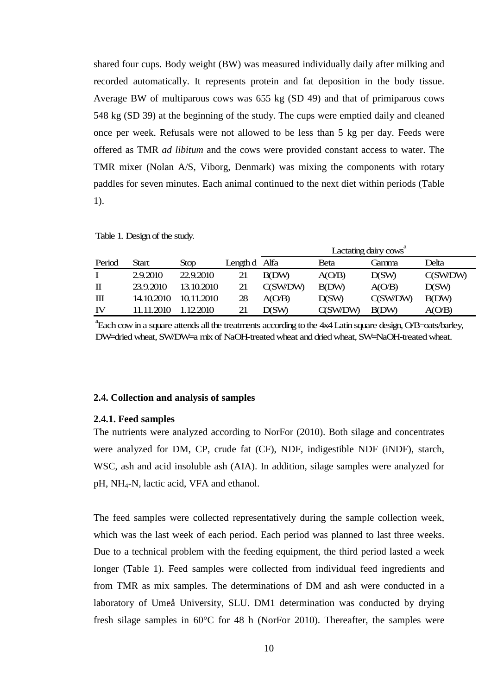shared four cups. Body weight (BW) was measured individually daily after milking and recorded automatically. It represents protein and fat deposition in the body tissue. Average BW of multiparous cows was 655 kg (SD 49) and that of primiparous cows 548 kg (SD 39) at the beginning of the study. The cups were emptied daily and cleaned once per week. Refusals were not allowed to be less than 5 kg per day. Feeds were offered as TMR *ad libitum* and the cows were provided constant access to water. The TMR mixer (Nolan A/S, Viborg, Denmark) was mixing the components with rotary paddles for seven minutes. Each animal continued to the next diet within periods (Table 1).

Table 1. Design of the study.

|             |            |            |               |              |              | Lactating dairy cows <sup>a</sup> |          |
|-------------|------------|------------|---------------|--------------|--------------|-----------------------------------|----------|
| Period      | Start      | Stop       | Length d Alfa |              | Beta         | Càmma                             | Delta    |
|             | 2.9.2010   | 22.9.2010  | 21            | <b>B(DW)</b> | A(O/B)       | D(SW)                             | C(SW/DW) |
| $\mathbf I$ | 23.9.2010  | 13.10.2010 | 21            | C(SW/DW)     | <b>B(DW)</b> | A(O/B)                            | D(SW)    |
| Ш           | 14.10.2010 | 10 11 2010 | 28            | A(O/B)       | D(SW)        | C(SW/DW)                          | B(DW)    |
| IV          | .2010      | 12.2010    | 21            | D(SW)        | C(SW/DW)     | <b>B</b> (DW)                     | A(OB)    |

a Each cow in a square attends all the treatments according to the 4x4 Latin square design, O/B=oats/barley, DW=dried wheat, SW/DW=a mix of NaOH-treated wheat and dried wheat, SW=NaOH-treated wheat.

### **2.4. Collection and analysis of samples**

### **2.4.1. Feed samples**

The nutrients were analyzed according to NorFor (2010). Both silage and concentrates were analyzed for DM, CP, crude fat (CF), NDF, indigestible NDF (iNDF), starch, WSC, ash and acid insoluble ash (AIA). In addition, silage samples were analyzed for pH, NH4-N, lactic acid, VFA and ethanol.

The feed samples were collected representatively during the sample collection week, which was the last week of each period. Each period was planned to last three weeks. Due to a technical problem with the feeding equipment, the third period lasted a week longer (Table 1). Feed samples were collected from individual feed ingredients and from TMR as mix samples. The determinations of DM and ash were conducted in a laboratory of Umeå University, SLU. DM1 determination was conducted by drying fresh silage samples in 60°C for 48 h (NorFor 2010). Thereafter, the samples were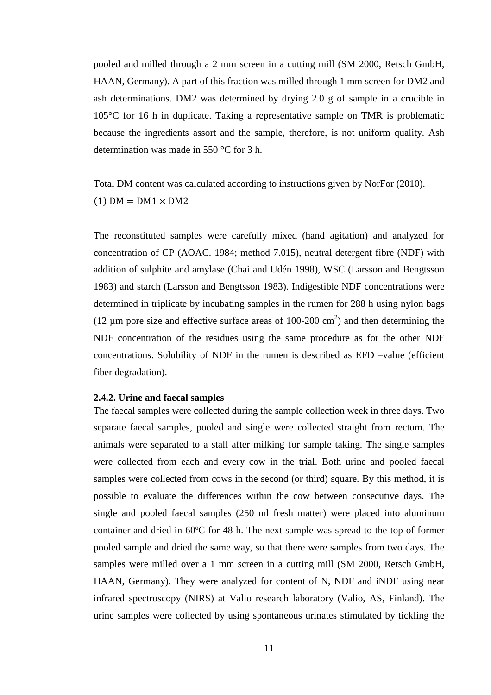pooled and milled through a 2 mm screen in a cutting mill (SM 2000, Retsch GmbH, HAAN, Germany). A part of this fraction was milled through 1 mm screen for DM2 and ash determinations. DM2 was determined by drying 2.0 g of sample in a crucible in 105°C for 16 h in duplicate. Taking a representative sample on TMR is problematic because the ingredients assort and the sample, therefore, is not uniform quality. Ash determination was made in 550 °C for 3 h.

Total DM content was calculated according to instructions given by NorFor (2010).  $(1)$  DM = DM1  $\times$  DM2

The reconstituted samples were carefully mixed (hand agitation) and analyzed for concentration of CP (AOAC. 1984; method 7.015), neutral detergent fibre (NDF) with addition of sulphite and amylase (Chai and Udén 1998), WSC (Larsson and Bengtsson 1983) and starch (Larsson and Bengtsson 1983). Indigestible NDF concentrations were determined in triplicate by incubating samples in the rumen for 288 h using nylon bags (12  $\mu$ m pore size and effective surface areas of 100-200 cm<sup>2</sup>) and then determining the NDF concentration of the residues using the same procedure as for the other NDF concentrations. Solubility of NDF in the rumen is described as EFD –value (efficient fiber degradation).

#### **2.4.2. Urine and faecal samples**

The faecal samples were collected during the sample collection week in three days. Two separate faecal samples, pooled and single were collected straight from rectum. The animals were separated to a stall after milking for sample taking. The single samples were collected from each and every cow in the trial. Both urine and pooled faecal samples were collected from cows in the second (or third) square. By this method, it is possible to evaluate the differences within the cow between consecutive days. The single and pooled faecal samples (250 ml fresh matter) were placed into aluminum container and dried in 60ºC for 48 h. The next sample was spread to the top of former pooled sample and dried the same way, so that there were samples from two days. The samples were milled over a 1 mm screen in a cutting mill (SM 2000, Retsch GmbH, HAAN, Germany). They were analyzed for content of N, NDF and iNDF using near infrared spectroscopy (NIRS) at Valio research laboratory (Valio, AS, Finland). The urine samples were collected by using spontaneous urinates stimulated by tickling the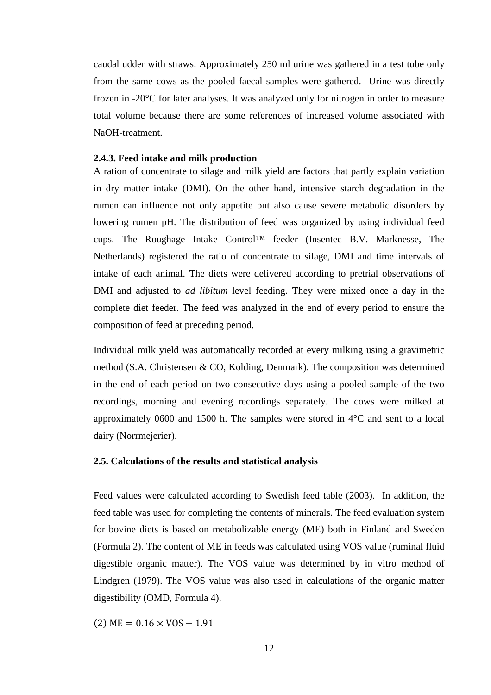caudal udder with straws. Approximately 250 ml urine was gathered in a test tube only from the same cows as the pooled faecal samples were gathered. Urine was directly frozen in -20°C for later analyses. It was analyzed only for nitrogen in order to measure total volume because there are some references of increased volume associated with NaOH-treatment.

## **2.4.3. Feed intake and milk production**

A ration of concentrate to silage and milk yield are factors that partly explain variation in dry matter intake (DMI). On the other hand, intensive starch degradation in the rumen can influence not only appetite but also cause severe metabolic disorders by lowering rumen pH. The distribution of feed was organized by using individual feed cups. The Roughage Intake Control™ feeder (Insentec B.V. Marknesse, The Netherlands) registered the ratio of concentrate to silage, DMI and time intervals of intake of each animal. The diets were delivered according to pretrial observations of DMI and adjusted to *ad libitum* level feeding. They were mixed once a day in the complete diet feeder. The feed was analyzed in the end of every period to ensure the composition of feed at preceding period.

Individual milk yield was automatically recorded at every milking using a gravimetric method (S.A. Christensen & CO, Kolding, Denmark). The composition was determined in the end of each period on two consecutive days using a pooled sample of the two recordings, morning and evening recordings separately. The cows were milked at approximately 0600 and 1500 h. The samples were stored in 4°C and sent to a local dairy (Norrmejerier).

## **2.5. Calculations of the results and statistical analysis**

Feed values were calculated according to Swedish feed table (2003). In addition, the feed table was used for completing the contents of minerals. The feed evaluation system for bovine diets is based on metabolizable energy (ME) both in Finland and Sweden (Formula 2). The content of ME in feeds was calculated using VOS value (ruminal fluid digestible organic matter). The VOS value was determined by in vitro method of Lindgren (1979). The VOS value was also used in calculations of the organic matter digestibility (OMD, Formula 4).

 $(2) \text{ ME} = 0.16 \times \text{VOS} - 1.91$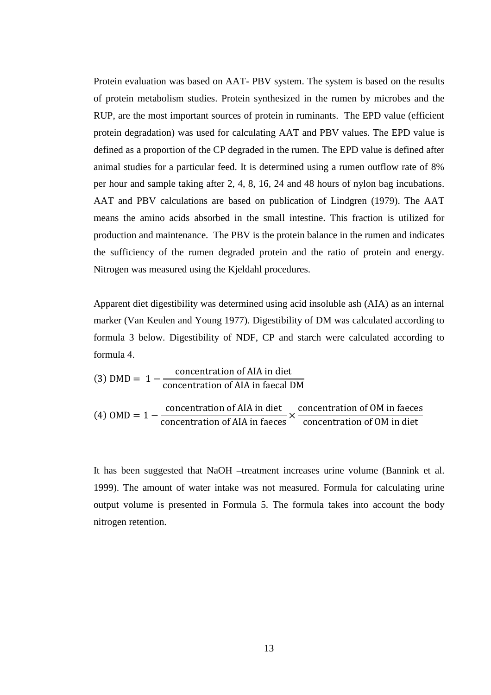Protein evaluation was based on AAT- PBV system. The system is based on the results of protein metabolism studies. Protein synthesized in the rumen by microbes and the RUP, are the most important sources of protein in ruminants. The EPD value (efficient protein degradation) was used for calculating AAT and PBV values. The EPD value is defined as a proportion of the CP degraded in the rumen. The EPD value is defined after animal studies for a particular feed. It is determined using a rumen outflow rate of 8% per hour and sample taking after 2, 4, 8, 16, 24 and 48 hours of nylon bag incubations. AAT and PBV calculations are based on publication of Lindgren (1979). The AAT means the amino acids absorbed in the small intestine. This fraction is utilized for production and maintenance. The PBV is the protein balance in the rumen and indicates the sufficiency of the rumen degraded protein and the ratio of protein and energy. Nitrogen was measured using the Kjeldahl procedures.

Apparent diet digestibility was determined using acid insoluble ash (AIA) as an internal marker (Van Keulen and Young 1977). Digestibility of DM was calculated according to formula 3 below. Digestibility of NDF, CP and starch were calculated according to formula 4.

(3) 
$$
DMD = 1 - \frac{\text{concentration of AIA in diet}}{\text{concentration of AIA in faced DM}}
$$

\n(4)  $OMD = 1 - \frac{\text{concentration of AIA in diet}}{\text{concentration of AIA in faces}} \times \frac{\text{concentration of OM in faces}}{\text{concentration of OM in diet}}$ 

It has been suggested that NaOH –treatment increases urine volume (Bannink et al. 1999). The amount of water intake was not measured. Formula for calculating urine output volume is presented in Formula 5. The formula takes into account the body nitrogen retention.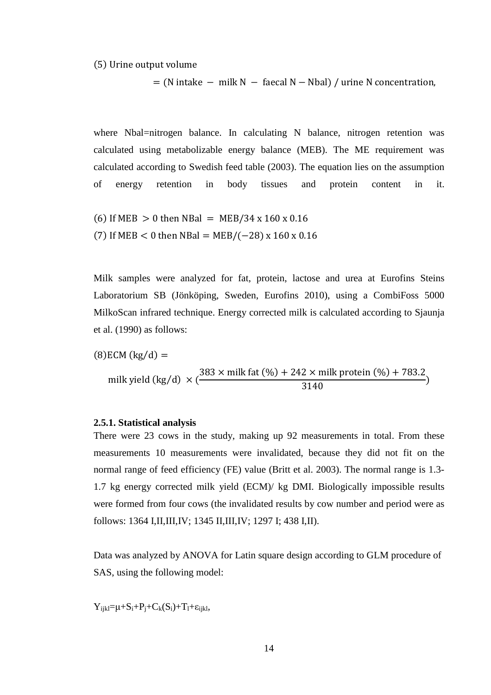(5) Urine output volume

 $N = (N \text{ intake} - m \text{ilik } N - \text{facal } N - \text{Nbal}) / \text{urine } N \text{ concentration},$ 

where Nbal=nitrogen balance. In calculating N balance, nitrogen retention was calculated using metabolizable energy balance (MEB). The ME requirement was calculated according to Swedish feed table (2003). The equation lies on the assumption of energy retention in body tissues and protein content in it.

 $(6)$  If MEB  $> 0$  then NBal = MEB/34 x 160 x 0.16 (7) If MEB  $< 0$  then NBal = MEB/(-28) x 160 x 0.16

Milk samples were analyzed for fat, protein, lactose and urea at Eurofins Steins Laboratorium SB (Jönköping, Sweden, Eurofins 2010), using a CombiFoss 5000 MilkoScan infrared technique. Energy corrected milk is calculated according to Sjaunja et al. (1990) as follows:

(8)ECM (kg/d) =  
milk yield (kg/d) × 
$$
(\frac{383 \times \text{milk fat} (\%) + 242 \times \text{milk protein} (\%) + 783.2}{3140})
$$

### **2.5.1. Statistical analysis**

There were 23 cows in the study, making up 92 measurements in total. From these measurements 10 measurements were invalidated, because they did not fit on the normal range of feed efficiency (FE) value (Britt et al. 2003). The normal range is 1.3- 1.7 kg energy corrected milk yield (ECM)/ kg DMI. Biologically impossible results were formed from four cows (the invalidated results by cow number and period were as follows: 1364 I,II,III,IV; 1345 II,III,IV; 1297 I; 438 I,II).

Data was analyzed by ANOVA for Latin square design according to GLM procedure of SAS, using the following model:

 $Y_{iikl} = \mu + S_i + P_i + C_k(S_i) + T_l + \varepsilon_{iikl}$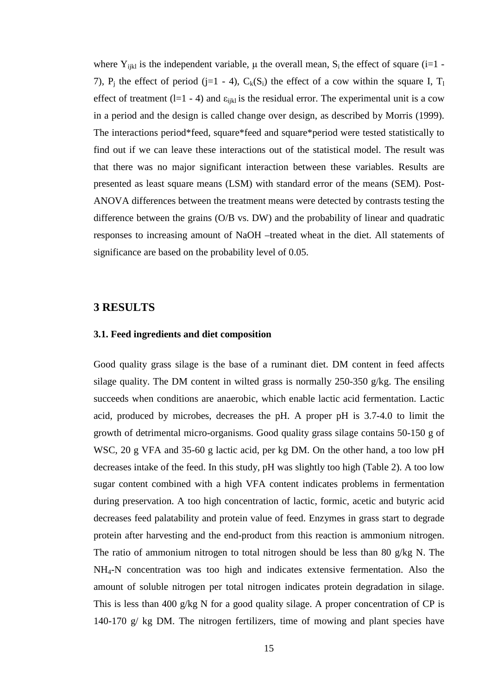where  $Y_{ijkl}$  is the independent variable,  $\mu$  the overall mean,  $S_i$  the effect of square (i=1 -7),  $P_j$  the effect of period (j=1 - 4),  $C_k(S_i)$  the effect of a cow within the square I,  $T_1$ effect of treatment (l=1 - 4) and  $\varepsilon_{ijkl}$  is the residual error. The experimental unit is a cow in a period and the design is called change over design, as described by Morris (1999). The interactions period\*feed, square\*feed and square\*period were tested statistically to find out if we can leave these interactions out of the statistical model. The result was that there was no major significant interaction between these variables. Results are presented as least square means (LSM) with standard error of the means (SEM). Post-ANOVA differences between the treatment means were detected by contrasts testing the difference between the grains (O/B vs. DW) and the probability of linear and quadratic responses to increasing amount of NaOH –treated wheat in the diet. All statements of significance are based on the probability level of 0.05.

## **3 RESULTS**

### **3.1. Feed ingredients and diet composition**

Good quality grass silage is the base of a ruminant diet. DM content in feed affects silage quality. The DM content in wilted grass is normally 250-350 g/kg. The ensiling succeeds when conditions are anaerobic, which enable lactic acid fermentation. Lactic acid, produced by microbes, decreases the pH. A proper pH is 3.7-4.0 to limit the growth of detrimental micro-organisms. Good quality grass silage contains 50-150 g of WSC, 20 g VFA and 35-60 g lactic acid, per kg DM. On the other hand, a too low pH decreases intake of the feed. In this study, pH was slightly too high (Table 2). A too low sugar content combined with a high VFA content indicates problems in fermentation during preservation. A too high concentration of lactic, formic, acetic and butyric acid decreases feed palatability and protein value of feed. Enzymes in grass start to degrade protein after harvesting and the end-product from this reaction is ammonium nitrogen. The ratio of ammonium nitrogen to total nitrogen should be less than 80 g/kg N. The NH4-N concentration was too high and indicates extensive fermentation. Also the amount of soluble nitrogen per total nitrogen indicates protein degradation in silage. This is less than 400 g/kg N for a good quality silage. A proper concentration of CP is 140-170 g/ kg DM. The nitrogen fertilizers, time of mowing and plant species have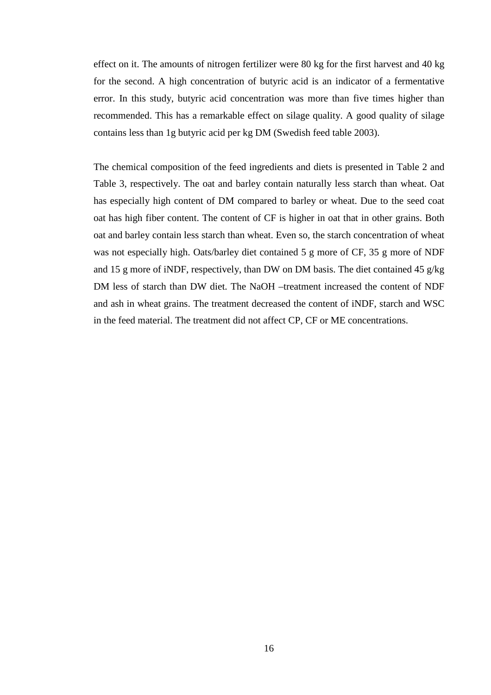effect on it. The amounts of nitrogen fertilizer were 80 kg for the first harvest and 40 kg for the second. A high concentration of butyric acid is an indicator of a fermentative error. In this study, butyric acid concentration was more than five times higher than recommended. This has a remarkable effect on silage quality. A good quality of silage contains less than 1g butyric acid per kg DM (Swedish feed table 2003).

The chemical composition of the feed ingredients and diets is presented in Table 2 and Table 3, respectively. The oat and barley contain naturally less starch than wheat. Oat has especially high content of DM compared to barley or wheat. Due to the seed coat oat has high fiber content. The content of CF is higher in oat that in other grains. Both oat and barley contain less starch than wheat. Even so, the starch concentration of wheat was not especially high. Oats/barley diet contained 5 g more of CF, 35 g more of NDF and 15 g more of iNDF, respectively, than DW on DM basis. The diet contained 45 g/kg DM less of starch than DW diet. The NaOH –treatment increased the content of NDF and ash in wheat grains. The treatment decreased the content of iNDF, starch and WSC in the feed material. The treatment did not affect CP, CF or ME concentrations.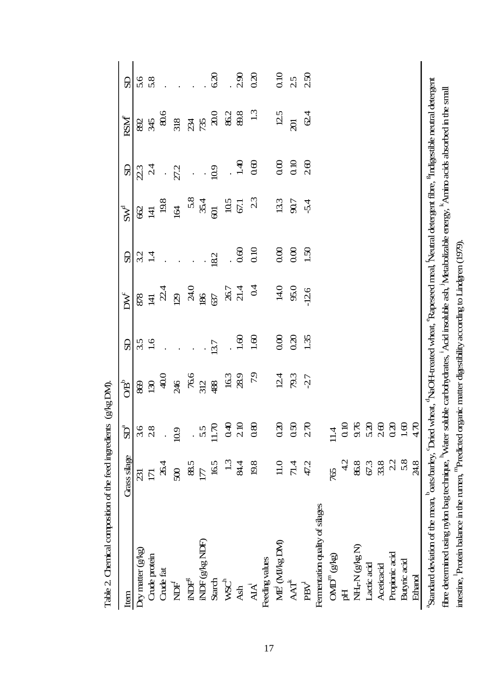| Item                                                                                                                                                                                            | <b>Grass</b> silage      | $\operatorname{SD}^{\mathrm{a}}$ | $\rm OB^b$ | SD   | $\mathbf{D}\mathbf{W}^{\mathsf{E}}$ | SD              | $SW^d$         | SD             | $RSM^e$                  | SD   |
|-------------------------------------------------------------------------------------------------------------------------------------------------------------------------------------------------|--------------------------|----------------------------------|------------|------|-------------------------------------|-----------------|----------------|----------------|--------------------------|------|
| $Dry$ matter $(g/kg)$                                                                                                                                                                           | $\overline{\mathrm{31}}$ | 3.6                              | 869        | 35   | 878                                 | 32              | 8              | 23             | 892                      | 5.6  |
| Crude protein                                                                                                                                                                                   | $\overline{\Box}$        | 28                               | 130        | 1.6  | $\overline{4}$                      | $\overline{14}$ | $\overline{4}$ | $\frac{4}{3}$  | 345                      | 5.8  |
| Crude fat                                                                                                                                                                                       | 26.4                     |                                  | 40.0       |      | 2.4                                 |                 | 19.8           | $\ddot{\cdot}$ | 80.6                     |      |
| Ě                                                                                                                                                                                               | $\infty$                 | 10.9                             | 246        |      | 129                                 |                 | 164            | 27.2           | 318                      |      |
| $\mathbb{R}^2$                                                                                                                                                                                  | 88.5                     |                                  | 76.6       |      | 24.0                                |                 |                | $\ddot{\cdot}$ |                          |      |
| NDF (g/kg NDF)                                                                                                                                                                                  | $\overline{17}$          | 5.5                              | 312        |      | 186                                 |                 | $58$<br>35.4   |                | 234                      |      |
| <b>Starch</b>                                                                                                                                                                                   | 165                      | 11.70                            | 488        | 13.7 | 637                                 | 18.2            | $\Theta$       | 10.9           | $\infty$                 | 6.20 |
| WSC <sup>h</sup>                                                                                                                                                                                | 13                       | 0.40                             | 163        |      |                                     |                 | 10.5           |                | 86.2                     |      |
| <b>Ash</b>                                                                                                                                                                                      | 84.4                     | 2.10                             | 28.9       | 1.60 | 26.7<br>21.4                        | 0.60            | 67.1           | 1.40           | 89.8                     | 2.90 |
| $\mathbf{A}\mathbf{A}^i$                                                                                                                                                                        | 19.8                     | 0.80                             | 7.9        | 1.60 | 0.4                                 | 0.10            | 23             | 0.60           | 13                       | 0.20 |
| Feeding values                                                                                                                                                                                  |                          |                                  |            |      |                                     |                 |                |                |                          |      |
| ME (MI/kg DM)                                                                                                                                                                                   | $11.0\,$                 | 0.20                             | 12.4       | 0.00 | 14.0                                | 0.00            | 13.3           | 0.00           | 12.5                     | 0.10 |
| $AA^k$                                                                                                                                                                                          | 71.4                     | 0.50                             | 79.3       | 0.20 | 95.0                                | 0.00            | 90.7           | 0.10           | $\overline{\mathcal{R}}$ | 2.5  |
| $\ensuremath{\mathsf{P}\mathsf{B}\mathsf{V}}$                                                                                                                                                   | 47.2                     | 270                              | $-27$      | 1.35 | $-126$                              | 1.50            | $-5.4$         | 260            | $\mathcal{Q}$ 4          | 2.50 |
| Fernentation quality of silages                                                                                                                                                                 |                          |                                  |            |      |                                     |                 |                |                |                          |      |
| $\text{QMD}^{\mathrm{m}}(\text{gkg})$                                                                                                                                                           | 765                      | $\frac{4}{11}$                   |            |      |                                     |                 |                |                |                          |      |
| Ħ                                                                                                                                                                                               | $\frac{1}{2}$            | 0.10                             |            |      |                                     |                 |                |                |                          |      |
| NH <sub>4</sub> -N (g/kg N)                                                                                                                                                                     | 89                       | 9.76                             |            |      |                                     |                 |                |                |                          |      |
| Lactic acid                                                                                                                                                                                     | 67.3                     | 5.20                             |            |      |                                     |                 |                |                |                          |      |
| Aceticacid                                                                                                                                                                                      | 33.8                     | $\frac{6}{2}$                    |            |      |                                     |                 |                |                |                          |      |
| Propionic acid                                                                                                                                                                                  | 22                       | 0.20                             |            |      |                                     |                 |                |                |                          |      |
| Butyric acid                                                                                                                                                                                    | 5.8                      | $1.60\,$                         |            |      |                                     |                 |                |                |                          |      |
| Ethanol                                                                                                                                                                                         | 24.8                     | $\frac{1}{4}$                    |            |      |                                     |                 |                |                |                          |      |
| "Standard deviation of the mean, <sup>b</sup> oats/barley, 'Dried wheat, <sup>4</sup> NaOH-treated wheat, "Rapeseed meal, Neutral detergent fibre, <sup>st</sup> Indigestible neutral detergent |                          |                                  |            |      |                                     |                 |                |                |                          |      |
| fibre determined using nylon bag technique, "Water soluble carbohydrates, 'Acid insoluble ash, 'Metabolizable energy, "Annino acids absorbed in the small                                       |                          |                                  |            |      |                                     |                 |                |                |                          |      |
| intestine, Protein balance in the rumen, <sup>m</sup> Predicted organic matter digestibility according to Lindgren (1979).                                                                      |                          |                                  |            |      |                                     |                 |                |                |                          |      |

Table 2. Chemical composition of the feed ingredients (g/kg DN). ts (g/kg DM). Table 2. Chemical composition of the feed ingredien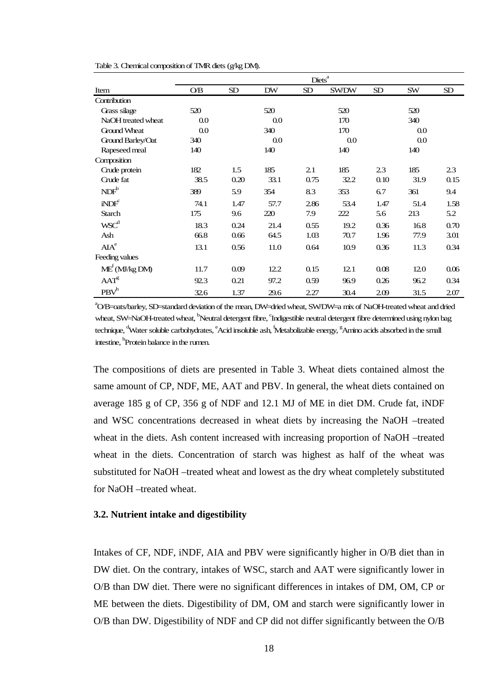|                                      | Diets <sup>a</sup> |           |           |           |              |           |           |      |
|--------------------------------------|--------------------|-----------|-----------|-----------|--------------|-----------|-----------|------|
| Item                                 | O/B                | <b>SD</b> | <b>DW</b> | <b>SD</b> | <b>SW/DW</b> | <b>SD</b> | <b>SW</b> | SD   |
| Contribution                         |                    |           |           |           |              |           |           |      |
| Grass silage                         | 520                |           | 520       |           | 520          |           | 520       |      |
| NaOH treated wheat                   | 0.0                |           | 0.0       |           | 170          |           | 340       |      |
| <b>Ground Wheat</b>                  | $0.0\,$            |           | 340       |           | 170          |           | 0.0       |      |
| Ground Barley/Oat                    | 340                |           | 0.0       |           | 0.0          |           | $0.0\,$   |      |
| Rapeseed meal                        | 140                |           | 140       |           | 140          |           | 140       |      |
| Composition                          |                    |           |           |           |              |           |           |      |
| Crude protein                        | 182                | 1.5       | 185       | 2.1       | 185          | 2.3       | 185       | 2.3  |
| Crude fat                            | 38.5               | 0.20      | 33.1      | 0.75      | 32.2         | 0.10      | 31.9      | 0.15 |
| NDF <sup>b</sup>                     | 389                | 5.9       | 354       | 8.3       | 353          | 6.7       | 361       | 9.4  |
| $i$ ND $Fc$                          | 74.1               | 1.47      | 57.7      | 2.86      | 53.4         | 1.47      | 51.4      | 1.58 |
| <b>Starch</b>                        | 175                | 9.6       | 220       | 7.9       | 222          | 5.6       | 213       | 5.2  |
| WSC <sup>d</sup>                     | 18.3               | 0.24      | 21.4      | 0.55      | 19.2         | 0.36      | 16.8      | 0.70 |
| Ash                                  | 66.8               | 0.66      | 64.5      | 1.03      | 70.7         | 1.96      | 77.9      | 3.01 |
| AIA <sup>e</sup>                     | 13.1               | 0.56      | 11.0      | 0.64      | 10.9         | 0.36      | 11.3      | 0.34 |
| Feeding values                       |                    |           |           |           |              |           |           |      |
| $\text{ME}^f(\text{MI/kg}\text{DM})$ | 11.7               | 0.09      | 12.2      | 0.15      | 12.1         | 0.08      | 12.0      | 0.06 |
| AAT <sup>g</sup>                     | 92.3               | 0.21      | 97.2      | 0.59      | 96.9         | 0.26      | 96.2      | 0.34 |
| PBV <sup>h</sup>                     | 32.6               | 1.37      | 29.6      | 2.27      | 30.4         | 2.09      | 31.5      | 2.07 |

Table 3. Chemical composition of TMR diets (g/kg DM).

a O/B=oats/barley, SD=standard deviation of the mean, DW=dried wheat, SW/DW=a mix of NaOH-treated wheat and dried wheat, SW=NaOH-treated wheat, <sup>b</sup>Neutral detergent fibre, <sup>c</sup>Indigestible neutral detergent fibre determined using nylon bag technique, <sup>d</sup>Water soluble carbohydrates, <sup>e</sup>Acid insoluble ash, <sup>f</sup>Metabolizable energy, <sup>g</sup>Amino acids absorbed in the small intestine, <sup>h</sup> Protein balance in the rumen.

The compositions of diets are presented in Table 3. Wheat diets contained almost the same amount of CP, NDF, ME, AAT and PBV. In general, the wheat diets contained on average 185 g of CP, 356 g of NDF and 12.1 MJ of ME in diet DM. Crude fat, iNDF and WSC concentrations decreased in wheat diets by increasing the NaOH –treated wheat in the diets. Ash content increased with increasing proportion of NaOH –treated wheat in the diets. Concentration of starch was highest as half of the wheat was substituted for NaOH –treated wheat and lowest as the dry wheat completely substituted for NaOH –treated wheat.

#### **3.2. Nutrient intake and digestibility**

Intakes of CF, NDF, iNDF, AIA and PBV were significantly higher in O/B diet than in DW diet. On the contrary, intakes of WSC, starch and AAT were significantly lower in O/B than DW diet. There were no significant differences in intakes of DM, OM, CP or ME between the diets. Digestibility of DM, OM and starch were significantly lower in O/B than DW. Digestibility of NDF and CP did not differ significantly between the O/B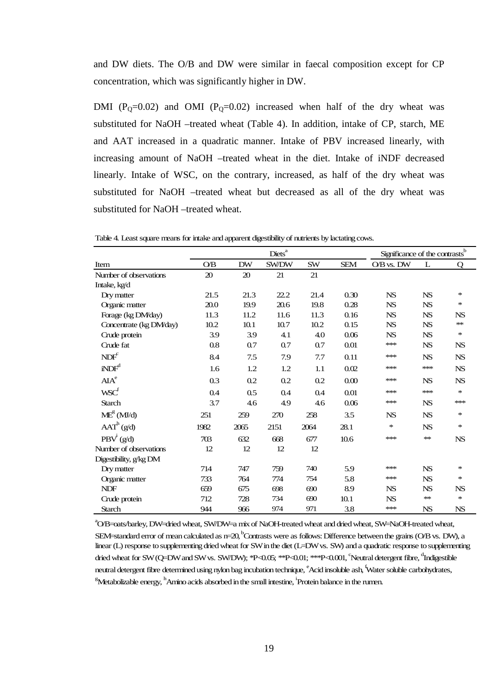and DW diets. The O/B and DW were similar in faecal composition except for CP concentration, which was significantly higher in DW.

DMI ( $P_0=0.02$ ) and OMI ( $P_0=0.02$ ) increased when half of the dry wheat was substituted for NaOH –treated wheat (Table 4). In addition, intake of CP, starch, ME and AAT increased in a quadratic manner. Intake of PBV increased linearly, with increasing amount of NaOH –treated wheat in the diet. Intake of iNDF decreased linearly. Intake of WSC, on the contrary, increased, as half of the dry wheat was substituted for NaOH –treated wheat but decreased as all of the dry wheat was substituted for NaOH –treated wheat.

Table 4. Least square means for intake and apparent digestibility of nutrients by lactating cows.

|                         |      |           | $\overline{\mathrm{Dist}}^a$ |      |            | Significance of the contrasts <sup>b</sup> |           |           |
|-------------------------|------|-----------|------------------------------|------|------------|--------------------------------------------|-----------|-----------|
| Item                    | O/B  | <b>DW</b> | SW/DW                        | SW   | <b>SEM</b> | O/B vs. DW                                 | L         | Q         |
| Number of observations  | 20   | 20        | 21                           | 21   |            |                                            |           |           |
| Intake, kg/d            |      |           |                              |      |            |                                            |           |           |
| Dry matter              | 21.5 | 21.3      | 22.2                         | 21.4 | 0.30       | <b>NS</b>                                  | <b>NS</b> | $\ast$    |
| Organic matter          | 20.0 | 19.9      | 20.6                         | 19.8 | 0.28       | <b>NS</b>                                  | <b>NS</b> | $\ast$    |
| Forage (kg DM/day)      | 11.3 | 11.2      | 11.6                         | 11.3 | 0.16       | <b>NS</b>                                  | <b>NS</b> | <b>NS</b> |
| Concentrate (kg DM/day) | 10.2 | 10.1      | 10.7                         | 10.2 | 0.15       | <b>NS</b>                                  | <b>NS</b> | ∗∗        |
| Crude protein           | 3.9  | 3.9       | 4.1                          | 4.0  | 0.06       | <b>NS</b>                                  | <b>NS</b> | $\ast$    |
| Crude fat               | 0.8  | 0.7       | 0.7                          | 0.7  | 0.01       | ***                                        | <b>NS</b> | <b>NS</b> |
| NDF <sup>c</sup>        | 8.4  | 7.5       | 7.9                          | 7.7  | 0.11       | ***                                        | <b>NS</b> | <b>NS</b> |
| iNDF <sup>d</sup>       | 1.6  | 1.2       | 1.2                          | 1.1  | 0.02       | ***                                        | ***       | <b>NS</b> |
| AIA <sup>e</sup>        | 0.3  | 0.2       | 0.2                          | 0.2  | 0.00       | ***                                        | <b>NS</b> | <b>NS</b> |
| WSC <sup>f</sup>        | 0.4  | 0.5       | 0.4                          | 0.4  | 0.01       | ***                                        | $**$      | $\ast$    |
| <b>Starch</b>           | 3.7  | 4.6       | 4.9                          | 4.6  | 0.06       | ***                                        | <b>NS</b> | ***       |
| $\text{ME}^g$ (MJ/d)    | 251  | 259       | 270                          | 258  | 3.5        | <b>NS</b>                                  | <b>NS</b> | ∗         |
| AAT <sup>h</sup> (g/d)  | 1982 | 2065      | 2151                         | 2064 | 28.1       | ∗                                          | <b>NS</b> | *         |
| $PBV^{i}(g/d)$          | 703  | 632       | 668                          | 677  | 10.6       | ***                                        | ∗∗        | <b>NS</b> |
| Number of observations  | 12   | 12        | 12                           | 12   |            |                                            |           |           |
| Digestibility, g/kg DM  |      |           |                              |      |            |                                            |           |           |
| Dry matter              | 714  | 747       | 759                          | 740  | 5.9        | ***                                        | <b>NS</b> | ∗         |
| Organic matter          | 733  | 764       | 774                          | 754  | 5.8        | ***                                        | <b>NS</b> | ∗         |
| <b>NDF</b>              | 659  | 675       | 698                          | 690  | 8.9        | <b>NS</b>                                  | <b>NS</b> | <b>NS</b> |
| Crude protein           | 712  | 728       | 734                          | 690  | 10.1       | <b>NS</b>                                  | ∗∗        | ∗         |
| <b>Starch</b>           | 944  | 966       | 974                          | 971  | 3.8        | ***                                        | <b>NS</b> | <b>NS</b> |

a O/B=oats/barley, DW=dried wheat, SW/DW=a mix of NaOH-treated wheat and dried wheat, SW=NaOH-treated wheat, SEM=standard error of mean calculated as  $n=20$ , Contrasts were as follows: Difference between the grains (O/B vs. DW), a linear (L) response to supplementing dried wheat for SW in the diet (L=DW vs. SW) and a quadratic response to supplementing dried wheat for SW (Q=DW and SW vs. SW/DW); \*P<0.05; \*\*P<0.01; \*\*\*P<0.001, <sup>c</sup>Neutral detergent fibre, <sup>d</sup>Indigestible neutral detergent fibre determined using nylon bag incubation technique, <sup>e</sup>Acid insoluble ash, <sup>f</sup>Water soluble carbohydrates,  $\mathrm{^g}\!$ Metabolizable energy,  $\mathrm{^h}\!$ Amino acids absorbed in the small intestine,  $\mathrm{^i}\!$ Protein balance in the rumen.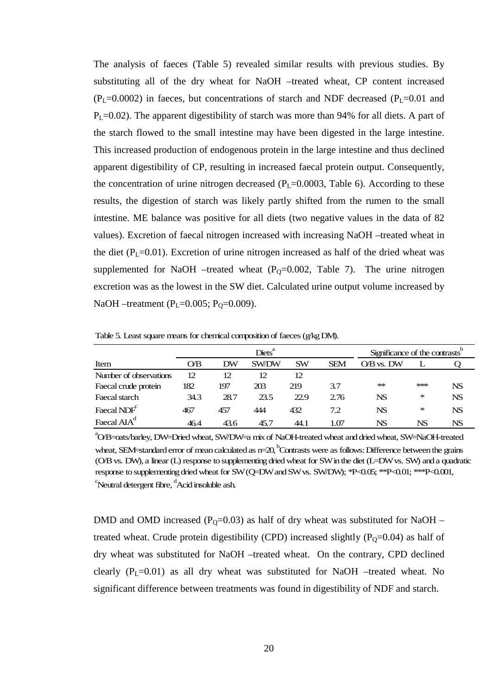The analysis of faeces (Table 5) revealed similar results with previous studies. By substituting all of the dry wheat for NaOH –treated wheat, CP content increased  $(P<sub>L</sub>=0.0002)$  in faeces, but concentrations of starch and NDF decreased (P<sub>L</sub>=0.01 and  $P<sub>L</sub>=0.02$ ). The apparent digestibility of starch was more than 94% for all diets. A part of the starch flowed to the small intestine may have been digested in the large intestine. This increased production of endogenous protein in the large intestine and thus declined apparent digestibility of CP, resulting in increased faecal protein output. Consequently, the concentration of urine nitrogen decreased  $(P_L=0.0003,$  Table 6). According to these results, the digestion of starch was likely partly shifted from the rumen to the small intestine. ME balance was positive for all diets (two negative values in the data of 82 values). Excretion of faecal nitrogen increased with increasing NaOH –treated wheat in the diet  $(P_L=0.01)$ . Excretion of urine nitrogen increased as half of the dried wheat was supplemented for NaOH –treated wheat  $(P<sub>0</sub>=0.002,$  Table 7). The urine nitrogen excretion was as the lowest in the SW diet. Calculated urine output volume increased by NaOH –treatment ( $P_L$ =0.005;  $P_0$ =0.009).

Item O/B DW SW/DW SW SEM O/B vs. DW L Q Number of observations 12 12 12 12 Faecal crude protein 182 197 203 219 3.7 \*\* \*\*\* NS Faecal starch 34.3 28.7 23.5 22.9 2.76 NS \* NS Faecal  $NDF<sup>c</sup>$ 467 457 444 432 7.2 NS \* NS  $Diets<sup>a</sup>$ Significance of the contrasts<sup>b</sup>

Table 5. Least square means for chemical composition of faeces (g/kg DM).

Faecal AIA<sup>d</sup>

a O/B=oats/barley, DW=Dried wheat, SW/DW=a mix of NaOH-treated wheat and dried wheat, SW=NaOH-treated wheat, SEM=standard error of mean calculated as  $n=20$ , Contrasts were as follows: Difference between the grains (O/B vs. DW), a linear (L) response to supplementing dried wheat for SW in the diet (L=DW vs. SW) and a quadratic response to supplementing dried wheat for SW (Q=DW and SW vs. SW/DW); \*P<0.05; \*\*P<0.01; \*\*\*P<0.001,  $\mathrm{c}^\mathrm{c}$ Neutral detergent fibre,  $\mathrm{d}^\mathrm{d}$ Acid insoluble ash.

46.4 43.6 45.7 44.1 1.07 NS NS NS

DMD and OMD increased ( $P_0$ =0.03) as half of dry wheat was substituted for NaOH – treated wheat. Crude protein digestibility (CPD) increased slightly  $(P_0=0.04)$  as half of dry wheat was substituted for NaOH –treated wheat. On the contrary, CPD declined clearly  $(P_L=0.01)$  as all dry wheat was substituted for NaOH –treated wheat. No significant difference between treatments was found in digestibility of NDF and starch.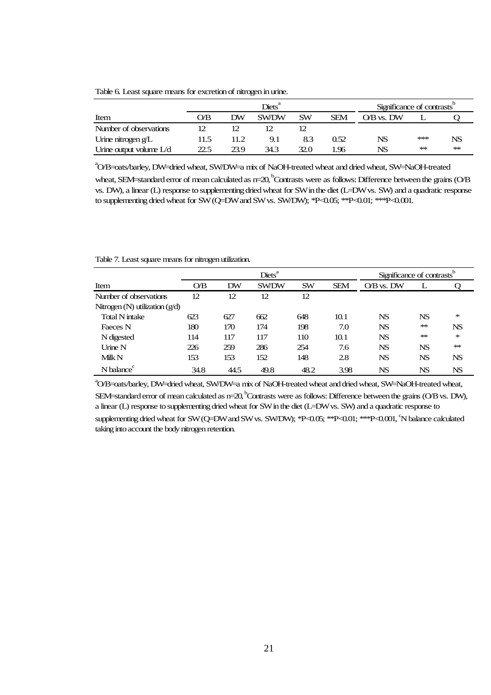Table 6. Least square means for excretion of nitrogen in urine.

|                           |      |      | $\mathrm{Diets}^a$ |           |            | Significance of contrasts <sup>b</sup> |       |       |
|---------------------------|------|------|--------------------|-----------|------------|----------------------------------------|-------|-------|
| Item                      | O⁄В  | DW   | <b>SW/DW</b>       | <b>SW</b> | <b>SEM</b> | O/B vs. DW                             |       |       |
| Number of observations    |      |      |                    |           |            |                                        |       |       |
| Urine nitrogen $g/L$      | 11.5 | 11.2 | 9.1                | 8.3       | 0.52       | NS                                     | $***$ | NS    |
| Urine output volume $L/d$ | 22.5 | 23.9 | 34.3               | 32.0      | l.96       | NS                                     | $+ +$ | $+ +$ |

a O/B=oats/barley, DW=dried wheat, SW/DW=a mix of NaOH-treated wheat and dried wheat, SW=NaOH-treated

wheat, SEM=standard error of mean calculated as  $n=20$ , Contrasts were as follows: Difference between the grains (O/B vs. DW), a linear (L) response to supplementing dried wheat for SW in the diet (L=DW vs. SW) and a quadratic response to supplementing dried wheat for SW (Q=DW and SW vs. SW/DW); \*P<0.05; \*\*P<0.01; \*\*\*P<0.001.

Table 7. Least square means for nitrogen utilization.

|                                  |      |           | $\text{Diets}^{\text{a}}$ |           |            | Significance of contrasts <sup>b</sup> |           |           |
|----------------------------------|------|-----------|---------------------------|-----------|------------|----------------------------------------|-----------|-----------|
| Item                             | O/B  | <b>DW</b> | <b>SW/DW</b>              | <b>SW</b> | <b>SEM</b> | $\overline{\rm OB}$ vs. DW             |           |           |
| Number of observations           | 12   | 12        | 12                        | 12        |            |                                        |           |           |
| Nitrogen (N) utilization $(g/d)$ |      |           |                           |           |            |                                        |           |           |
| <b>Total N</b> intake            | 623  | 627       | 662                       | 648       | 10.1       | <b>NS</b>                              | <b>NS</b> | ∗         |
| Faeces N                         | 180  | 170       | 174                       | 198       | 7.0        | NS                                     | $*$       | <b>NS</b> |
| N digested                       | 114  | 117       | 117                       | 110       | 10.1       | <b>NS</b>                              | $*$       | ∗         |
| <b>Urine N</b>                   | 226  | 259       | 286                       | 254       | 7.6        | <b>NS</b>                              | <b>NS</b> | $**$      |
| Milk N                           | 153  | 153       | 152                       | 148       | 2.8        | NS                                     | <b>NS</b> | <b>NS</b> |
| N balance                        | 34.8 | 44.5      | 49.8                      | 48.2      | 3.98       | NS                                     | NS        | NS        |

a O/B=oats/barley, DW=dried wheat, SW/DW=a mix of NaOH-treated wheat and dried wheat, SW=NaOH-treated wheat, SEM=standard error of mean calculated as  $n=20$ , Contrasts were as follows: Difference between the grains (O/B vs. DW), a linear (L) response to supplementing dried wheat for SW in the diet (L=DW vs. SW) and a quadratic response to supplementing dried wheat for SW (Q=DW and SW vs. SW/DW); \*P<0.05; \*\*P<0.01; \*\*\*P<0.001, <sup>c</sup>N balance calculated taking into account the body nitrogen retention.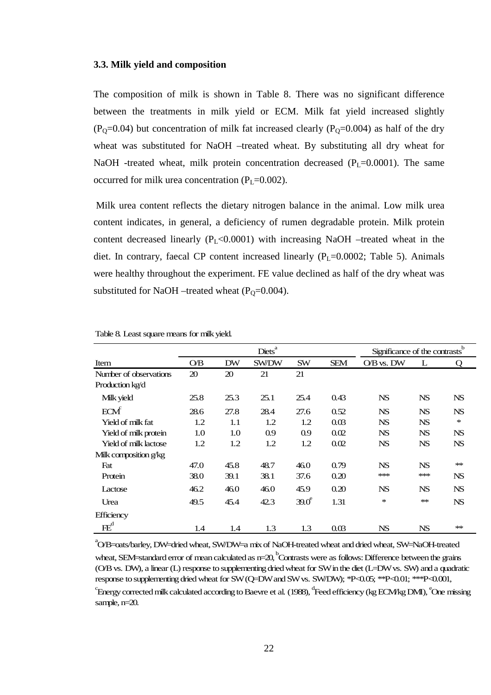#### **3.3. Milk yield and composition**

The composition of milk is shown in Table 8. There was no significant difference between the treatments in milk yield or ECM. Milk fat yield increased slightly  $(P<sub>O</sub>=0.04)$  but concentration of milk fat increased clearly  $(P<sub>O</sub>=0.004)$  as half of the dry wheat was substituted for NaOH –treated wheat. By substituting all dry wheat for NaOH -treated wheat, milk protein concentration decreased  $(P<sub>L</sub>=0.0001)$ . The same occurred for milk urea concentration  $(P_L=0.002)$ .

 Milk urea content reflects the dietary nitrogen balance in the animal. Low milk urea content indicates, in general, a deficiency of rumen degradable protein. Milk protein content decreased linearly  $(P_L<0.0001)$  with increasing NaOH –treated wheat in the diet. In contrary, faecal CP content increased linearly  $(P_L=0.0002;$  Table 5). Animals were healthy throughout the experiment. FE value declined as half of the dry wheat was substituted for NaOH –treated wheat  $(P_0=0.004)$ .

|                        |         |           | Diets <sup>a</sup> |              |            | Significance of the contrasts <sup>b</sup> |           |           |
|------------------------|---------|-----------|--------------------|--------------|------------|--------------------------------------------|-----------|-----------|
| Item                   | O/B     | <b>DW</b> | <b>SW/DW</b>       | <b>SW</b>    | <b>SEM</b> | O/B vs. DW                                 | L         | Q         |
| Number of observations | 20      | 20        | 21                 | 21           |            |                                            |           |           |
| Production kg/d        |         |           |                    |              |            |                                            |           |           |
| Milk yield             | 25.8    | 25.3      | 25.1               | 25.4         | 0.43       | <b>NS</b>                                  | <b>NS</b> | <b>NS</b> |
| ECM                    | 28.6    | 27.8      | 28.4               | 27.6         | 0.52       | <b>NS</b>                                  | <b>NS</b> | <b>NS</b> |
| Yield of milk fat      | 1.2     | 1.1       | 1.2                | 1.2          | 0.03       | <b>NS</b>                                  | <b>NS</b> | $\ast$    |
| Yield of milk protein  | 1.0     | 1.0       | 0.9                | 0.9          | 0.02       | <b>NS</b>                                  | <b>NS</b> | <b>NS</b> |
| Yield of milk lactose  | 1.2     | 1.2       | 1.2                | 1.2          | 0.02       | <b>NS</b>                                  | <b>NS</b> | <b>NS</b> |
| Milk composition g/kg  |         |           |                    |              |            |                                            |           |           |
| Fat                    | 47.0    | 45.8      | 48.7               | 46.0         | 0.79       | <b>NS</b>                                  | <b>NS</b> | $**$      |
| Protein                | 38.0    | 39.1      | 38.1               | 37.6         | 0.20       | ***                                        | $**$      | <b>NS</b> |
| Lactose                | 46.2    | 46.0      | 46.0               | 45.9         | 0.20       | <b>NS</b>                                  | <b>NS</b> | <b>NS</b> |
| Urea                   | 49.5    | 45.4      | 42.3               | $39.0^\circ$ | 1.31       | $\ast$                                     | $**$      | <b>NS</b> |
| <b>Efficiency</b>      |         |           |                    |              |            |                                            |           |           |
| $FE^d$                 | $1.4\,$ | $1.4\,$   | 1.3                | 1.3          | 0.03       | <b>NS</b>                                  | <b>NS</b> | ∗∗        |

| Table 8. Least square means for milk yield. |  |
|---------------------------------------------|--|
|---------------------------------------------|--|

a O/B=oats/barley, DW=dried wheat, SW/DW=a mix of NaOH-treated wheat and dried wheat, SW=NaOH-treated wheat, SEM=standard error of mean calculated as  $n=20$ , Contrasts were as follows: Difference between the grains (O/B vs. DW), a linear (L) response to supplementing dried wheat for SW in the diet (L=DW vs. SW) and a quadratic response to supplementing dried wheat for SW (Q=DW and SW vs. SW/DW); \*P<0.05; \*\*P<0.01; \*\*\*P<0.001,  $\rm{C}$ Energy corrected milk calculated according to Baevre et al. (1988),  $\rm{C}$ Feed efficiency (kg ECM/kg DMI),  $\rm{C}$ One missing sample, n=20.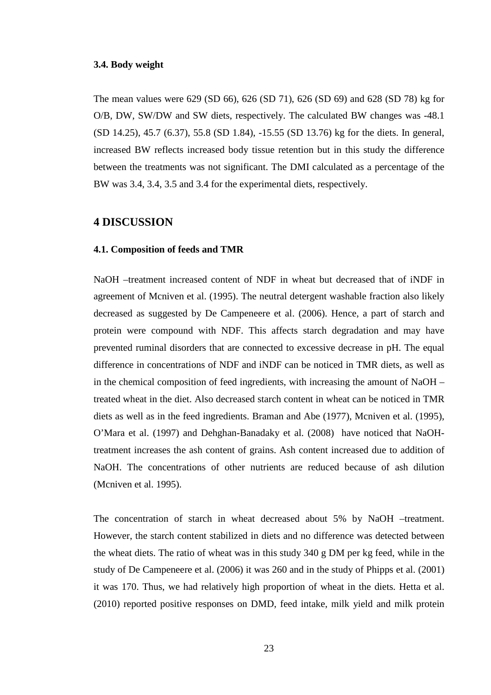### **3.4. Body weight**

The mean values were 629 (SD 66), 626 (SD 71), 626 (SD 69) and 628 (SD 78) kg for O/B, DW, SW/DW and SW diets, respectively. The calculated BW changes was -48.1 (SD 14.25), 45.7 (6.37), 55.8 (SD 1.84), -15.55 (SD 13.76) kg for the diets. In general, increased BW reflects increased body tissue retention but in this study the difference between the treatments was not significant. The DMI calculated as a percentage of the BW was 3.4, 3.4, 3.5 and 3.4 for the experimental diets, respectively.

# **4 DISCUSSION**

#### **4.1. Composition of feeds and TMR**

NaOH –treatment increased content of NDF in wheat but decreased that of iNDF in agreement of Mcniven et al. (1995). The neutral detergent washable fraction also likely decreased as suggested by De Campeneere et al. (2006). Hence, a part of starch and protein were compound with NDF. This affects starch degradation and may have prevented ruminal disorders that are connected to excessive decrease in pH. The equal difference in concentrations of NDF and iNDF can be noticed in TMR diets, as well as in the chemical composition of feed ingredients, with increasing the amount of NaOH – treated wheat in the diet. Also decreased starch content in wheat can be noticed in TMR diets as well as in the feed ingredients. Braman and Abe (1977), Mcniven et al. (1995), O'Mara et al. (1997) and Dehghan-Banadaky et al. (2008) have noticed that NaOHtreatment increases the ash content of grains. Ash content increased due to addition of NaOH. The concentrations of other nutrients are reduced because of ash dilution (Mcniven et al. 1995).

The concentration of starch in wheat decreased about 5% by NaOH –treatment. However, the starch content stabilized in diets and no difference was detected between the wheat diets. The ratio of wheat was in this study 340 g DM per kg feed, while in the study of De Campeneere et al. (2006) it was 260 and in the study of Phipps et al. (2001) it was 170. Thus, we had relatively high proportion of wheat in the diets. Hetta et al. (2010) reported positive responses on DMD, feed intake, milk yield and milk protein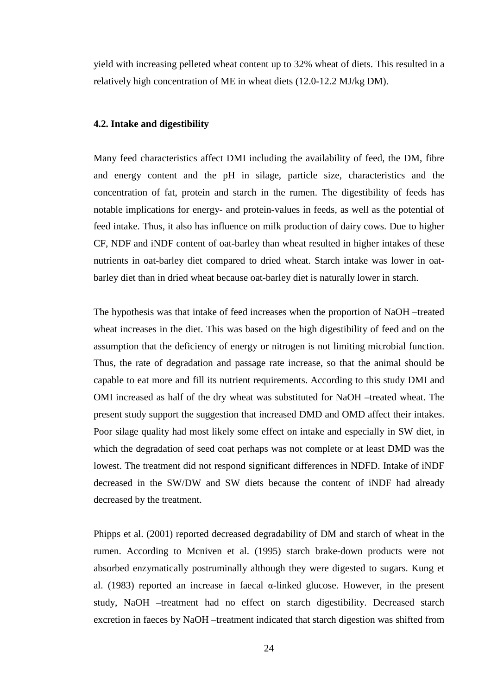yield with increasing pelleted wheat content up to 32% wheat of diets. This resulted in a relatively high concentration of ME in wheat diets (12.0-12.2 MJ/kg DM).

#### **4.2. Intake and digestibility**

Many feed characteristics affect DMI including the availability of feed, the DM, fibre and energy content and the pH in silage, particle size, characteristics and the concentration of fat, protein and starch in the rumen. The digestibility of feeds has notable implications for energy- and protein-values in feeds, as well as the potential of feed intake. Thus, it also has influence on milk production of dairy cows. Due to higher CF, NDF and iNDF content of oat-barley than wheat resulted in higher intakes of these nutrients in oat-barley diet compared to dried wheat. Starch intake was lower in oatbarley diet than in dried wheat because oat-barley diet is naturally lower in starch.

The hypothesis was that intake of feed increases when the proportion of NaOH –treated wheat increases in the diet. This was based on the high digestibility of feed and on the assumption that the deficiency of energy or nitrogen is not limiting microbial function. Thus, the rate of degradation and passage rate increase, so that the animal should be capable to eat more and fill its nutrient requirements. According to this study DMI and OMI increased as half of the dry wheat was substituted for NaOH –treated wheat. The present study support the suggestion that increased DMD and OMD affect their intakes. Poor silage quality had most likely some effect on intake and especially in SW diet, in which the degradation of seed coat perhaps was not complete or at least DMD was the lowest. The treatment did not respond significant differences in NDFD. Intake of iNDF decreased in the SW/DW and SW diets because the content of iNDF had already decreased by the treatment.

Phipps et al. (2001) reported decreased degradability of DM and starch of wheat in the rumen. According to Mcniven et al. (1995) starch brake-down products were not absorbed enzymatically postruminally although they were digested to sugars. Kung et al. (1983) reported an increase in faecal α-linked glucose. However, in the present study, NaOH –treatment had no effect on starch digestibility. Decreased starch excretion in faeces by NaOH –treatment indicated that starch digestion was shifted from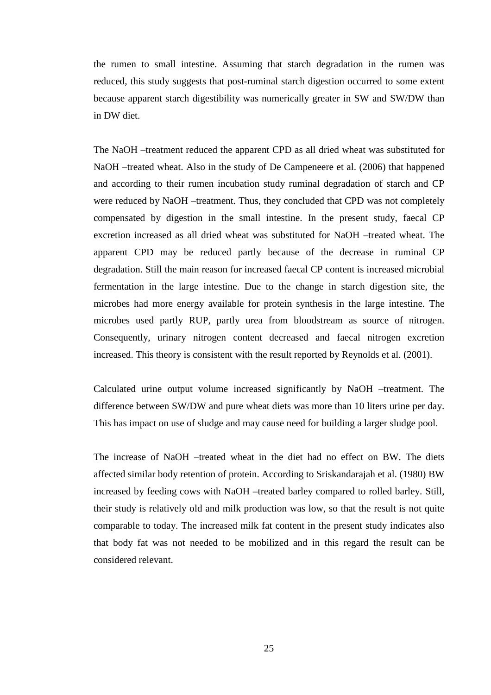the rumen to small intestine. Assuming that starch degradation in the rumen was reduced, this study suggests that post-ruminal starch digestion occurred to some extent because apparent starch digestibility was numerically greater in SW and SW/DW than in DW diet.

The NaOH –treatment reduced the apparent CPD as all dried wheat was substituted for NaOH –treated wheat. Also in the study of De Campeneere et al. (2006) that happened and according to their rumen incubation study ruminal degradation of starch and CP were reduced by NaOH –treatment. Thus, they concluded that CPD was not completely compensated by digestion in the small intestine. In the present study, faecal CP excretion increased as all dried wheat was substituted for NaOH –treated wheat. The apparent CPD may be reduced partly because of the decrease in ruminal CP degradation. Still the main reason for increased faecal CP content is increased microbial fermentation in the large intestine. Due to the change in starch digestion site, the microbes had more energy available for protein synthesis in the large intestine. The microbes used partly RUP, partly urea from bloodstream as source of nitrogen. Consequently, urinary nitrogen content decreased and faecal nitrogen excretion increased. This theory is consistent with the result reported by Reynolds et al. (2001).

Calculated urine output volume increased significantly by NaOH –treatment. The difference between SW/DW and pure wheat diets was more than 10 liters urine per day. This has impact on use of sludge and may cause need for building a larger sludge pool.

The increase of NaOH –treated wheat in the diet had no effect on BW. The diets affected similar body retention of protein. According to Sriskandarajah et al. (1980) BW increased by feeding cows with NaOH –treated barley compared to rolled barley. Still, their study is relatively old and milk production was low, so that the result is not quite comparable to today. The increased milk fat content in the present study indicates also that body fat was not needed to be mobilized and in this regard the result can be considered relevant.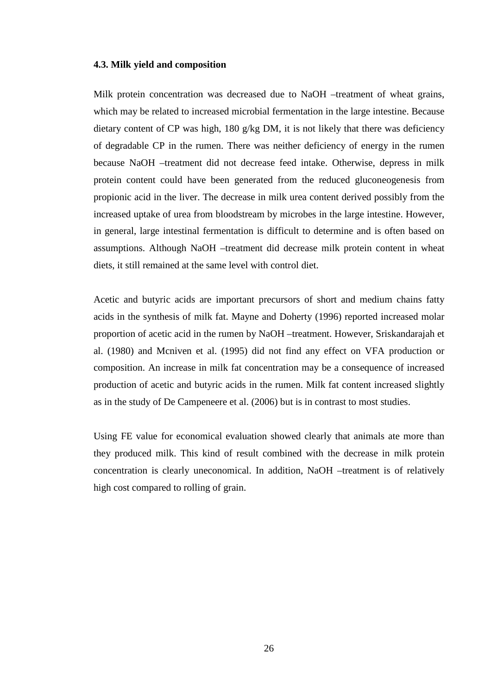#### **4.3. Milk yield and composition**

Milk protein concentration was decreased due to NaOH –treatment of wheat grains, which may be related to increased microbial fermentation in the large intestine. Because dietary content of CP was high, 180 g/kg DM, it is not likely that there was deficiency of degradable CP in the rumen. There was neither deficiency of energy in the rumen because NaOH –treatment did not decrease feed intake. Otherwise, depress in milk protein content could have been generated from the reduced gluconeogenesis from propionic acid in the liver. The decrease in milk urea content derived possibly from the increased uptake of urea from bloodstream by microbes in the large intestine. However, in general, large intestinal fermentation is difficult to determine and is often based on assumptions. Although NaOH –treatment did decrease milk protein content in wheat diets, it still remained at the same level with control diet.

Acetic and butyric acids are important precursors of short and medium chains fatty acids in the synthesis of milk fat. Mayne and Doherty (1996) reported increased molar proportion of acetic acid in the rumen by NaOH –treatment. However, Sriskandarajah et al. (1980) and Mcniven et al. (1995) did not find any effect on VFA production or composition. An increase in milk fat concentration may be a consequence of increased production of acetic and butyric acids in the rumen. Milk fat content increased slightly as in the study of De Campeneere et al. (2006) but is in contrast to most studies.

Using FE value for economical evaluation showed clearly that animals ate more than they produced milk. This kind of result combined with the decrease in milk protein concentration is clearly uneconomical. In addition, NaOH –treatment is of relatively high cost compared to rolling of grain.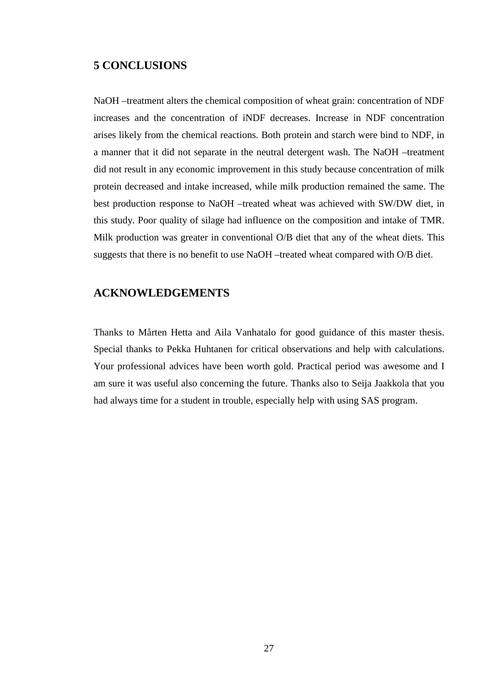# **5 CONCLUSIONS**

NaOH –treatment alters the chemical composition of wheat grain: concentration of NDF increases and the concentration of iNDF decreases. Increase in NDF concentration arises likely from the chemical reactions. Both protein and starch were bind to NDF, in a manner that it did not separate in the neutral detergent wash. The NaOH –treatment did not result in any economic improvement in this study because concentration of milk protein decreased and intake increased, while milk production remained the same. The best production response to NaOH –treated wheat was achieved with SW/DW diet, in this study. Poor quality of silage had influence on the composition and intake of TMR. Milk production was greater in conventional O/B diet that any of the wheat diets. This suggests that there is no benefit to use NaOH –treated wheat compared with O/B diet.

# **ACKNOWLEDGEMENTS**

Thanks to Mårten Hetta and Aila Vanhatalo for good guidance of this master thesis. Special thanks to Pekka Huhtanen for critical observations and help with calculations. Your professional advices have been worth gold. Practical period was awesome and I am sure it was useful also concerning the future. Thanks also to Seija Jaakkola that you had always time for a student in trouble, especially help with using SAS program.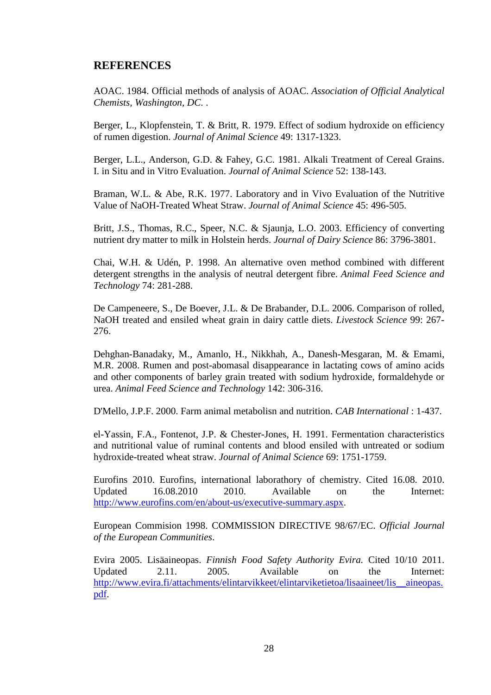# **REFERENCES**

AOAC. 1984. Official methods of analysis of AOAC. *Association of Official Analytical Chemists, Washington, DC.* .

Berger, L., Klopfenstein, T. & Britt, R. 1979. Effect of sodium hydroxide on efficiency of rumen digestion. *Journal of Animal Science* 49: 1317-1323.

Berger, L.L., Anderson, G.D. & Fahey, G.C. 1981. Alkali Treatment of Cereal Grains. I. in Situ and in Vitro Evaluation. *Journal of Animal Science* 52: 138-143.

Braman, W.L. & Abe, R.K. 1977. Laboratory and in Vivo Evaluation of the Nutritive Value of NaOH-Treated Wheat Straw. *Journal of Animal Science* 45: 496-505.

Britt, J.S., Thomas, R.C., Speer, N.C. & Sjaunja, L.O. 2003. Efficiency of converting nutrient dry matter to milk in Holstein herds. *Journal of Dairy Science* 86: 3796-3801.

Chai, W.H. & Udén, P. 1998. An alternative oven method combined with different detergent strengths in the analysis of neutral detergent fibre. *Animal Feed Science and Technology* 74: 281-288.

De Campeneere, S., De Boever, J.L. & De Brabander, D.L. 2006. Comparison of rolled, NaOH treated and ensiled wheat grain in dairy cattle diets. *Livestock Science* 99: 267- 276.

Dehghan-Banadaky, M., Amanlo, H., Nikkhah, A., Danesh-Mesgaran, M. & Emami, M.R. 2008. Rumen and post-abomasal disappearance in lactating cows of amino acids and other components of barley grain treated with sodium hydroxide, formaldehyde or urea. *Animal Feed Science and Technology* 142: 306-316.

D'Mello, J.P.F. 2000. Farm animal metabolisn and nutrition. *CAB International* : 1-437.

el-Yassin, F.A., Fontenot, J.P. & Chester-Jones, H. 1991. Fermentation characteristics and nutritional value of ruminal contents and blood ensiled with untreated or sodium hydroxide-treated wheat straw. *Journal of Animal Science* 69: 1751-1759.

Eurofins 2010. Eurofins, international laborathory of chemistry. Cited 16.08. 2010. Updated 16.08.2010 2010. Available on the Internet: http://www.eurofins.com/en/about-us/executive-summary.aspx.

European Commision 1998. COMMISSION DIRECTIVE 98/67/EC. *Official Journal of the European Communities*.

Evira 2005. Lisäaineopas. *Finnish Food Safety Authority Evira.* Cited 10/10 2011. Updated 2.11. 2005. Available on the Internet: http://www.evira.fi/attachments/elintarvikkeet/elintarviketietoa/lisaaineet/lis\_\_aineopas. pdf.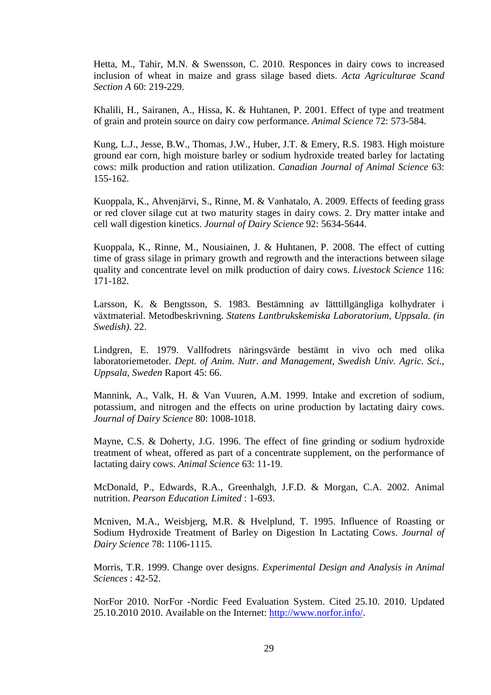Hetta, M., Tahir, M.N. & Swensson, C. 2010. Responces in dairy cows to increased inclusion of wheat in maize and grass silage based diets. *Acta Agriculturae Scand Section A* 60: 219-229.

Khalili, H., Sairanen, A., Hissa, K. & Huhtanen, P. 2001. Effect of type and treatment of grain and protein source on dairy cow performance. *Animal Science* 72: 573-584.

Kung, L.J., Jesse, B.W., Thomas, J.W., Huber, J.T. & Emery, R.S. 1983. High moisture ground ear corn, high moisture barley or sodium hydroxide treated barley for lactating cows: milk production and ration utilization. *Canadian Journal of Animal Science* 63: 155-162.

Kuoppala, K., Ahvenjärvi, S., Rinne, M. & Vanhatalo, A. 2009. Effects of feeding grass or red clover silage cut at two maturity stages in dairy cows. 2. Dry matter intake and cell wall digestion kinetics. *Journal of Dairy Science* 92: 5634-5644.

Kuoppala, K., Rinne, M., Nousiainen, J. & Huhtanen, P. 2008. The effect of cutting time of grass silage in primary growth and regrowth and the interactions between silage quality and concentrate level on milk production of dairy cows. *Livestock Science* 116: 171-182.

Larsson, K. & Bengtsson, S. 1983. Bestämning av lätttillgängliga kolhydrater i växtmaterial. Metodbeskrivning. *Statens Lantbrukskemiska Laboratorium, Uppsala. (in Swedish).* 22.

Lindgren, E. 1979. Vallfodrets näringsvärde bestämt in vivo och med olika laboratoriemetoder. *Dept. of Anim. Nutr. and Management, Swedish Univ. Agric. Sci., Uppsala, Sweden* Raport 45: 66.

Mannink, A., Valk, H. & Van Vuuren, A.M. 1999. Intake and excretion of sodium, potassium, and nitrogen and the effects on urine production by lactating dairy cows. *Journal of Dairy Science* 80: 1008-1018.

Mayne, C.S. & Doherty, J.G. 1996. The effect of fine grinding or sodium hydroxide treatment of wheat, offered as part of a concentrate supplement, on the performance of lactating dairy cows. *Animal Science* 63: 11-19.

McDonald, P., Edwards, R.A., Greenhalgh, J.F.D. & Morgan, C.A. 2002. Animal nutrition. *Pearson Education Limited* : 1-693.

Mcniven, M.A., Weisbjerg, M.R. & Hvelplund, T. 1995. Influence of Roasting or Sodium Hydroxide Treatment of Barley on Digestion In Lactating Cows. *Journal of Dairy Science* 78: 1106-1115.

Morris, T.R. 1999. Change over designs. *Experimental Design and Analysis in Animal Sciences* : 42-52.

NorFor 2010. NorFor -Nordic Feed Evaluation System. Cited 25.10. 2010. Updated 25.10.2010 2010. Available on the Internet: http://www.norfor.info/.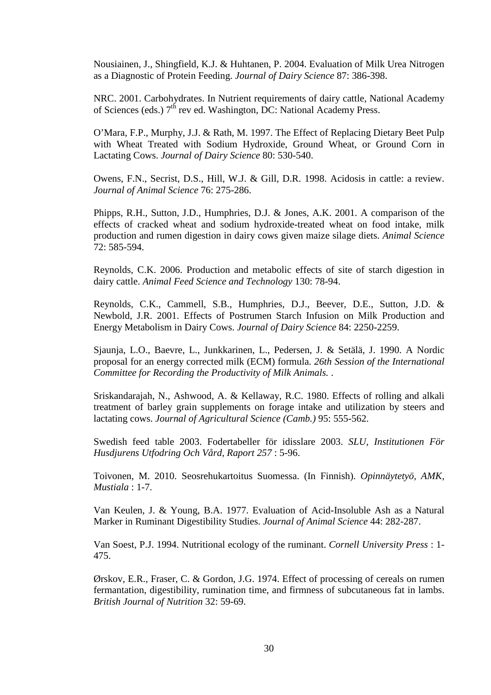Nousiainen, J., Shingfield, K.J. & Huhtanen, P. 2004. Evaluation of Milk Urea Nitrogen as a Diagnostic of Protein Feeding. *Journal of Dairy Science* 87: 386-398.

NRC. 2001. Carbohydrates. In Nutrient requirements of dairy cattle, National Academy of Sciences (eds.)  $7<sup>th</sup>$  rev ed. Washington, DC: National Academy Press.

O'Mara, F.P., Murphy, J.J. & Rath, M. 1997. The Effect of Replacing Dietary Beet Pulp with Wheat Treated with Sodium Hydroxide, Ground Wheat, or Ground Corn in Lactating Cows. *Journal of Dairy Science* 80: 530-540.

Owens, F.N., Secrist, D.S., Hill, W.J. & Gill, D.R. 1998. Acidosis in cattle: a review. *Journal of Animal Science* 76: 275-286.

Phipps, R.H., Sutton, J.D., Humphries, D.J. & Jones, A.K. 2001. A comparison of the effects of cracked wheat and sodium hydroxide-treated wheat on food intake, milk production and rumen digestion in dairy cows given maize silage diets. *Animal Science*  72: 585-594.

Reynolds, C.K. 2006. Production and metabolic effects of site of starch digestion in dairy cattle. *Animal Feed Science and Technology* 130: 78-94.

Reynolds, C.K., Cammell, S.B., Humphries, D.J., Beever, D.E., Sutton, J.D. & Newbold, J.R. 2001. Effects of Postrumen Starch Infusion on Milk Production and Energy Metabolism in Dairy Cows. *Journal of Dairy Science* 84: 2250-2259.

Sjaunja, L.O., Baevre, L., Junkkarinen, L., Pedersen, J. & Setälä, J. 1990. A Nordic proposal for an energy corrected milk (ECM) formula. *26th Session of the International Committee for Recording the Productivity of Milk Animals.* .

Sriskandarajah, N., Ashwood, A. & Kellaway, R.C. 1980. Effects of rolling and alkali treatment of barley grain supplements on forage intake and utilization by steers and lactating cows. *Journal of Agricultural Science (Camb.)* 95: 555-562.

Swedish feed table 2003. Fodertabeller för idisslare 2003. *SLU, Institutionen För Husdjurens Utfodring Och Vård, Raport 257* : 5-96.

Toivonen, M. 2010. Seosrehukartoitus Suomessa. (In Finnish). *Opinnäytetyö, AMK, Mustiala* : 1-7.

Van Keulen, J. & Young, B.A. 1977. Evaluation of Acid-Insoluble Ash as a Natural Marker in Ruminant Digestibility Studies. *Journal of Animal Science* 44: 282-287.

Van Soest, P.J. 1994. Nutritional ecology of the ruminant. *Cornell University Press* : 1- 475.

Ørskov, E.R., Fraser, C. & Gordon, J.G. 1974. Effect of processing of cereals on rumen fermantation, digestibility, rumination time, and firmness of subcutaneous fat in lambs. *British Journal of Nutrition* 32: 59-69.